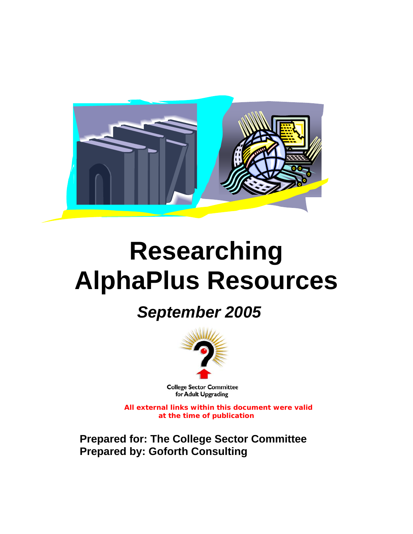

# **Researching AlphaPlus Resources**

# *September 2005*



**College Sector Committee** for Adult Upgrading

**All external links within this document were valid at the time of publication** 

**Prepared for: The College Sector Committee Prepared by: Goforth Consulting**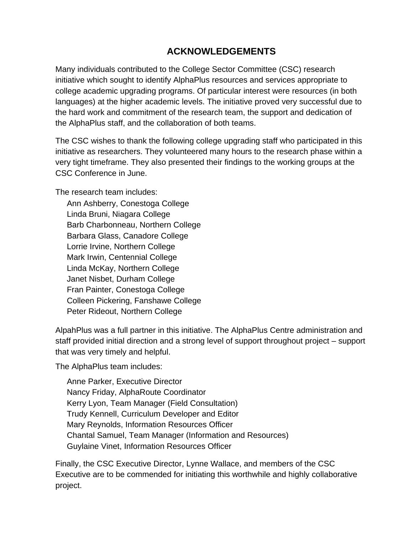## **ACKNOWLEDGEMENTS**

Many individuals contributed to the College Sector Committee (CSC) research initiative which sought to identify AlphaPlus resources and services appropriate to college academic upgrading programs. Of particular interest were resources (in both languages) at the higher academic levels. The initiative proved very successful due to the hard work and commitment of the research team, the support and dedication of the AlphaPlus staff, and the collaboration of both teams.

The CSC wishes to thank the following college upgrading staff who participated in this initiative as researchers. They volunteered many hours to the research phase within a very tight timeframe. They also presented their findings to the working groups at the CSC Conference in June.

The research team includes:

Ann Ashberry, Conestoga College Linda Bruni, Niagara College Barb Charbonneau, Northern College Barbara Glass, Canadore College Lorrie Irvine, Northern College Mark Irwin, Centennial College Linda McKay, Northern College Janet Nisbet, Durham College Fran Painter, Conestoga College Colleen Pickering, Fanshawe College Peter Rideout, Northern College

AlpahPlus was a full partner in this initiative. The AlphaPlus Centre administration and staff provided initial direction and a strong level of support throughout project – support that was very timely and helpful.

The AlphaPlus team includes:

Anne Parker, Executive Director Nancy Friday, AlphaRoute Coordinator Kerry Lyon, Team Manager (Field Consultation) Trudy Kennell, Curriculum Developer and Editor Mary Reynolds, Information Resources Officer Chantal Samuel, Team Manager (Information and Resources) Guylaine Vinet, Information Resources Officer

Finally, the CSC Executive Director, Lynne Wallace, and members of the CSC Executive are to be commended for initiating this worthwhile and highly collaborative project.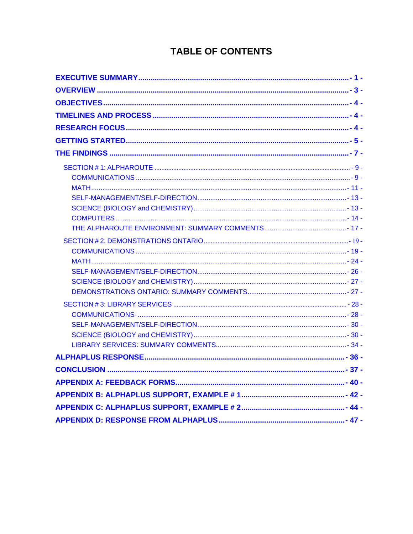# **TABLE OF CONTENTS**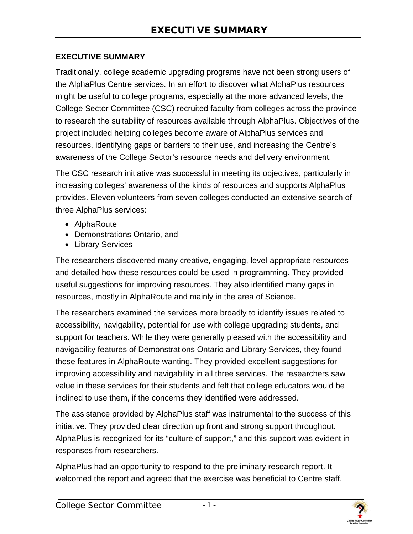#### **EXECUTIVE SUMMARY**

Traditionally, college academic upgrading programs have not been strong users of the AlphaPlus Centre services. In an effort to discover what AlphaPlus resources might be useful to college programs, especially at the more advanced levels, the College Sector Committee (CSC) recruited faculty from colleges across the province to research the suitability of resources available through AlphaPlus. Objectives of the project included helping colleges become aware of AlphaPlus services and resources, identifying gaps or barriers to their use, and increasing the Centre's awareness of the College Sector's resource needs and delivery environment.

The CSC research initiative was successful in meeting its objectives, particularly in increasing colleges' awareness of the kinds of resources and supports AlphaPlus provides. Eleven volunteers from seven colleges conducted an extensive search of three AlphaPlus services:

- AlphaRoute
- Demonstrations Ontario, and
- Library Services

The researchers discovered many creative, engaging, level-appropriate resources and detailed how these resources could be used in programming. They provided useful suggestions for improving resources. They also identified many gaps in resources, mostly in AlphaRoute and mainly in the area of Science.

The researchers examined the services more broadly to identify issues related to accessibility, navigability, potential for use with college upgrading students, and support for teachers. While they were generally pleased with the accessibility and navigability features of Demonstrations Ontario and Library Services, they found these features in AlphaRoute wanting. They provided excellent suggestions for improving accessibility and navigability in all three services. The researchers saw value in these services for their students and felt that college educators would be inclined to use them, if the concerns they identified were addressed.

The assistance provided by AlphaPlus staff was instrumental to the success of this initiative. They provided clear direction up front and strong support throughout. AlphaPlus is recognized for its "culture of support," and this support was evident in responses from researchers.

AlphaPlus had an opportunity to respond to the preliminary research report. It welcomed the report and agreed that the exercise was beneficial to Centre staff,

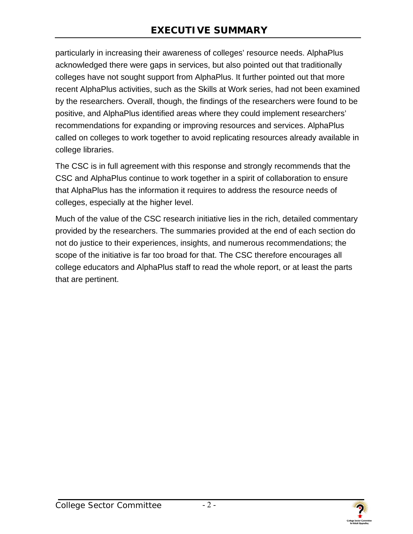particularly in increasing their awareness of colleges' resource needs. AlphaPlus acknowledged there were gaps in services, but also pointed out that traditionally colleges have not sought support from AlphaPlus. It further pointed out that more recent AlphaPlus activities, such as the Skills at Work series, had not been examined by the researchers. Overall, though, the findings of the researchers were found to be positive, and AlphaPlus identified areas where they could implement researchers' recommendations for expanding or improving resources and services. AlphaPlus called on colleges to work together to avoid replicating resources already available in college libraries.

The CSC is in full agreement with this response and strongly recommends that the CSC and AlphaPlus continue to work together in a spirit of collaboration to ensure that AlphaPlus has the information it requires to address the resource needs of colleges, especially at the higher level.

Much of the value of the CSC research initiative lies in the rich, detailed commentary provided by the researchers. The summaries provided at the end of each section do not do justice to their experiences, insights, and numerous recommendations; the scope of the initiative is far too broad for that. The CSC therefore encourages all college educators and AlphaPlus staff to read the whole report, or at least the parts that are pertinent.

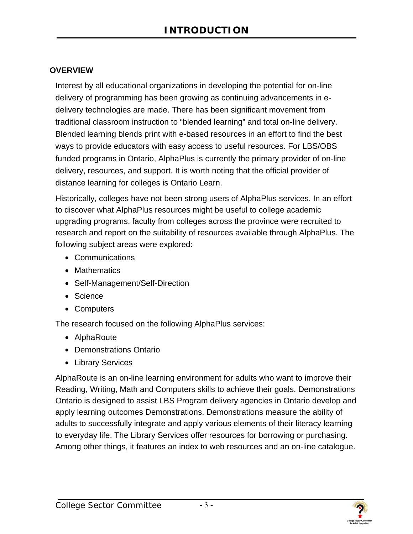#### <span id="page-5-0"></span>**OVERVIEW**

Interest by all educational organizations in developing the potential for on-line delivery of programming has been growing as continuing advancements in edelivery technologies are made. There has been significant movement from traditional classroom instruction to "blended learning" and total on-line delivery. Blended learning blends print with e-based resources in an effort to find the best ways to provide educators with easy access to useful resources. For LBS/OBS funded programs in Ontario, AlphaPlus is currently the primary provider of on-line delivery, resources, and support. It is worth noting that the official provider of distance learning for colleges is Ontario Learn.

Historically, colleges have not been strong users of AlphaPlus services. In an effort to discover what AlphaPlus resources might be useful to college academic upgrading programs, faculty from colleges across the province were recruited to research and report on the suitability of resources available through AlphaPlus. The following subject areas were explored:

- Communications
- Mathematics
- Self-Management/Self-Direction
- Science
- Computers

The research focused on the following AlphaPlus services:

- AlphaRoute
- Demonstrations Ontario
- Library Services

AlphaRoute is an on-line learning environment for adults who want to improve their Reading, Writing, Math and Computers skills to achieve their goals. Demonstrations Ontario is designed to assist LBS Program delivery agencies in Ontario develop and apply learning outcomes Demonstrations. Demonstrations measure the ability of adults to successfully integrate and apply various elements of their literacy learning to everyday life. The Library Services offer resources for borrowing or purchasing. Among other things, it features an index to web resources and an on-line catalogue.

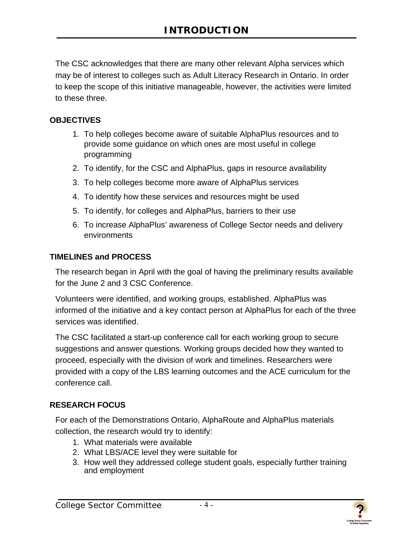<span id="page-6-0"></span>The CSC acknowledges that there are many other relevant Alpha services which may be of interest to colleges such as Adult Literacy Research in Ontario. In order to keep the scope of this initiative manageable, however, the activities were limited to these three.

#### **OBJECTIVES**

- 1. To help colleges become aware of suitable AlphaPlus resources and to provide some guidance on which ones are most useful in college programming
- 2. To identify, for the CSC and AlphaPlus, gaps in resource availability
- 3. To help colleges become more aware of AlphaPlus services
- 4. To identify how these services and resources might be used
- 5. To identify, for colleges and AlphaPlus, barriers to their use
- 6. To increase AlphaPlus' awareness of College Sector needs and delivery environments

#### **TIMELINES and PROCESS**

The research began in April with the goal of having the preliminary results available for the June 2 and 3 CSC Conference.

Volunteers were identified, and working groups, established. AlphaPlus was informed of the initiative and a key contact person at AlphaPlus for each of the three services was identified.

The CSC facilitated a start-up conference call for each working group to secure suggestions and answer questions. Working groups decided how they wanted to proceed, especially with the division of work and timelines. Researchers were provided with a copy of the LBS learning outcomes and the ACE curriculum for the conference call.

#### **RESEARCH FOCUS**

For each of the Demonstrations Ontario, AlphaRoute and AlphaPlus materials collection, the research would try to identify:

- 1. What materials were available
- 2. What LBS/ACE level they were suitable for
- 3. How well they addressed college student goals, especially further training and employment

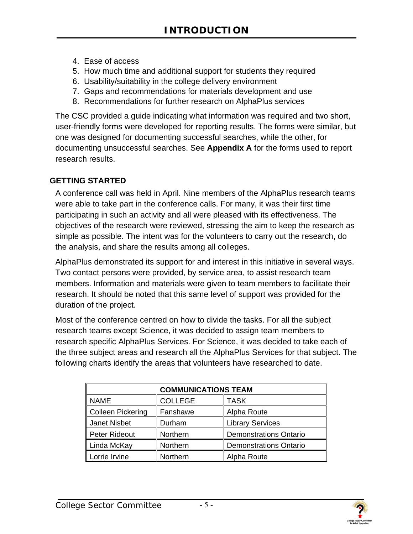- <span id="page-7-0"></span>4. Ease of access
- 5. How much time and additional support for students they required
- 6. Usability/suitability in the college delivery environment
- 7. Gaps and recommendations for materials development and use
- 8. Recommendations for further research on AlphaPlus services

The CSC provided a guide indicating what information was required and two short, user-friendly forms were developed for reporting results. The forms were similar, but one was designed for documenting successful searches, while the other, for documenting unsuccessful searches. See **Appendix A** for the forms used to report research results.

#### **GETTING STARTED**

A conference call was held in April. Nine members of the AlphaPlus research teams were able to take part in the conference calls. For many, it was their first time participating in such an activity and all were pleased with its effectiveness. The objectives of the research were reviewed, stressing the aim to keep the research as simple as possible. The intent was for the volunteers to carry out the research, do the analysis, and share the results among all colleges.

AlphaPlus demonstrated its support for and interest in this initiative in several ways. Two contact persons were provided, by service area, to assist research team members. Information and materials were given to team members to facilitate their research. It should be noted that this same level of support was provided for the duration of the project.

Most of the conference centred on how to divide the tasks. For all the subject research teams except Science, it was decided to assign team members to research specific AlphaPlus Services. For Science, it was decided to take each of the three subject areas and research all the AlphaPlus Services for that subject. The following charts identify the areas that volunteers have researched to date.

| <b>COMMUNICATIONS TEAM</b>                   |          |                               |  |
|----------------------------------------------|----------|-------------------------------|--|
| <b>NAME</b><br><b>COLLEGE</b><br><b>TASK</b> |          |                               |  |
| <b>Colleen Pickering</b>                     | Fanshawe | Alpha Route                   |  |
| <b>Janet Nisbet</b>                          | Durham   | <b>Library Services</b>       |  |
| <b>Peter Rideout</b>                         | Northern | <b>Demonstrations Ontario</b> |  |
| Linda McKay                                  | Northern | <b>Demonstrations Ontario</b> |  |
| Lorrie Irvine                                | Northern | Alpha Route                   |  |

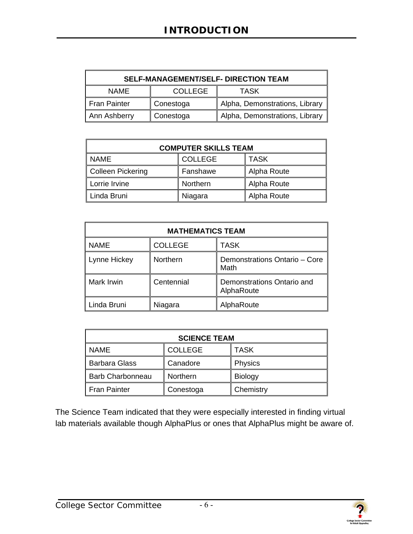| <b>SELF-MANAGEMENT/SELF- DIRECTION TEAM</b> |                               |                                |  |
|---------------------------------------------|-------------------------------|--------------------------------|--|
| <b>NAME</b>                                 | <b>COLLEGE</b><br><b>TASK</b> |                                |  |
| <b>Fran Painter</b>                         | ∥ Conestoga                   | Alpha, Demonstrations, Library |  |
| Ann Ashberry                                | Conestoga                     | Alpha, Demonstrations, Library |  |

| <b>COMPUTER SKILLS TEAM</b>                  |          |             |  |  |
|----------------------------------------------|----------|-------------|--|--|
| <b>NAME</b><br><b>TASK</b><br><b>COLLEGE</b> |          |             |  |  |
| Colleen Pickering                            | Fanshawe | Alpha Route |  |  |
| Lorrie Irvine<br>Northern<br>Alpha Route     |          |             |  |  |
| Linda Bruni                                  | Niagara  | Alpha Route |  |  |

| <b>MATHEMATICS TEAM</b> |                |                                          |  |
|-------------------------|----------------|------------------------------------------|--|
| <b>NAME</b>             | <b>COLLEGE</b> | <b>TASK</b>                              |  |
| Lynne Hickey            | Northern       | Demonstrations Ontario - Core<br>Math    |  |
| Mark Irwin              | Centennial     | Demonstrations Ontario and<br>AlphaRoute |  |
| Linda Bruni             | Niagara        | AlphaRoute                               |  |

| <b>SCIENCE TEAM</b>                   |           |                |  |  |
|---------------------------------------|-----------|----------------|--|--|
| <b>COLLEGE</b><br><b>NAME</b><br>TASK |           |                |  |  |
| <b>Barbara Glass</b>                  | Canadore  | <b>Physics</b> |  |  |
| <b>Barb Charbonneau</b>               | Northern  | <b>Biology</b> |  |  |
| Fran Painter                          | Conestoga | Chemistry      |  |  |

The Science Team indicated that they were especially interested in finding virtual lab materials available though AlphaPlus or ones that AlphaPlus might be aware of.

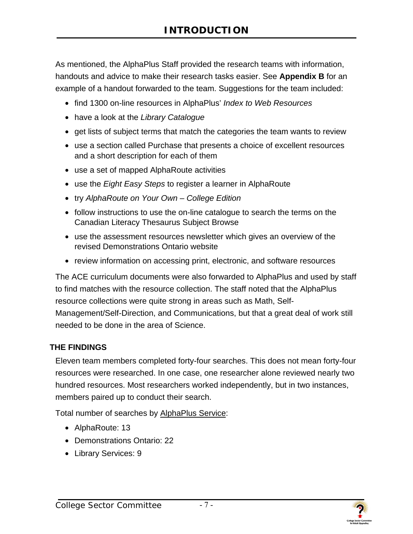<span id="page-9-0"></span>As mentioned, the AlphaPlus Staff provided the research teams with information, handouts and advice to make their research tasks easier. See **Appendix B** for an example of a handout forwarded to the team. Suggestions for the team included:

- find 1300 on-line resources in AlphaPlus' *Index to Web Resources*
- have a look at the *Library Catalogue*
- get lists of subject terms that match the categories the team wants to review
- use a section called Purchase that presents a choice of excellent resources and a short description for each of them
- use a set of mapped AlphaRoute activities
- use the *Eight Easy Steps* to register a learner in AlphaRoute
- try *AlphaRoute on Your Own College Edition*
- follow instructions to use the on-line catalogue to search the terms on the Canadian Literacy Thesaurus Subject Browse
- use the assessment resources newsletter which gives an overview of the revised Demonstrations Ontario website
- review information on accessing print, electronic, and software resources

The ACE curriculum documents were also forwarded to AlphaPlus and used by staff to find matches with the resource collection. The staff noted that the AlphaPlus resource collections were quite strong in areas such as Math, Self-Management/Self-Direction, and Communications, but that a great deal of work still needed to be done in the area of Science.

#### **THE FINDINGS**

Eleven team members completed forty-four searches. This does not mean forty-four resources were researched. In one case, one researcher alone reviewed nearly two hundred resources. Most researchers worked independently, but in two instances, members paired up to conduct their search.

Total number of searches by AlphaPlus Service:

- AlphaRoute: 13
- Demonstrations Ontario: 22
- Library Services: 9



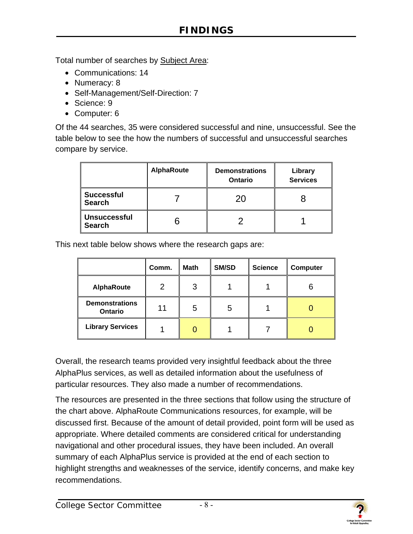Total number of searches by Subject Area:

- Communications: 14
- Numeracy: 8
- Self-Management/Self-Direction: 7
- Science: 9
- Computer: 6

Of the 44 searches, 35 were considered successful and nine, unsuccessful. See the table below to see the how the numbers of successful and unsuccessful searches compare by service.

|                                      | <b>AlphaRoute</b> | <b>Demonstrations</b><br>Ontario | Library<br><b>Services</b> |
|--------------------------------------|-------------------|----------------------------------|----------------------------|
| <b>Successful</b><br><b>Search</b>   |                   | 20                               |                            |
| <b>Unsuccessful</b><br><b>Search</b> | n                 |                                  |                            |

This next table below shows where the research gaps are:

|                                  | Comm. | <b>Math</b> | SM/SD | <b>Science</b> | Computer |
|----------------------------------|-------|-------------|-------|----------------|----------|
| <b>AlphaRoute</b>                | ◠     | 3           |       |                |          |
| <b>Demonstrations</b><br>Ontario | 11    | 5           | 5     |                |          |
| <b>Library Services</b>          |       |             |       |                |          |

Overall, the research teams provided very insightful feedback about the three AlphaPlus services, as well as detailed information about the usefulness of particular resources. They also made a number of recommendations.

The resources are presented in the three sections that follow using the structure of the chart above. AlphaRoute Communications resources, for example, will be discussed first. Because of the amount of detail provided, point form will be used as appropriate. Where detailed comments are considered critical for understanding navigational and other procedural issues, they have been included. An overall summary of each AlphaPlus service is provided at the end of each section to highlight strengths and weaknesses of the service, identify concerns, and make key recommendations.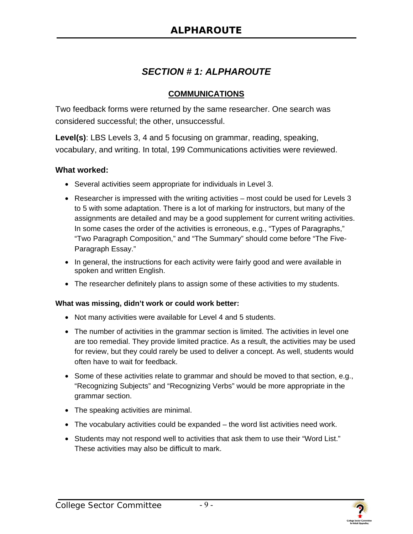## *SECTION # 1: ALPHAROUTE*

#### **COMMUNICATIONS**

<span id="page-11-0"></span>Two feedback forms were returned by the same researcher. One search was considered successful; the other, unsuccessful.

**Level(s)**: LBS Levels 3, 4 and 5 focusing on grammar, reading, speaking, vocabulary, and writing. In total, 199 Communications activities were reviewed.

#### **What worked:**

- Several activities seem appropriate for individuals in Level 3.
- Researcher is impressed with the writing activities most could be used for Levels 3 to 5 with some adaptation. There is a lot of marking for instructors, but many of the assignments are detailed and may be a good supplement for current writing activities. In some cases the order of the activities is erroneous, e.g., "Types of Paragraphs," "Two Paragraph Composition," and "The Summary" should come before "The Five-Paragraph Essay."
- In general, the instructions for each activity were fairly good and were available in spoken and written English.
- The researcher definitely plans to assign some of these activities to my students.

#### **What was missing, didn't work or could work better:**

- Not many activities were available for Level 4 and 5 students.
- The number of activities in the grammar section is limited. The activities in level one are too remedial. They provide limited practice. As a result, the activities may be used for review, but they could rarely be used to deliver a concept. As well, students would often have to wait for feedback.
- Some of these activities relate to grammar and should be moved to that section, e.g., "Recognizing Subjects" and "Recognizing Verbs" would be more appropriate in the grammar section.
- The speaking activities are minimal.
- The vocabulary activities could be expanded the word list activities need work.
- Students may not respond well to activities that ask them to use their "Word List." These activities may also be difficult to mark.



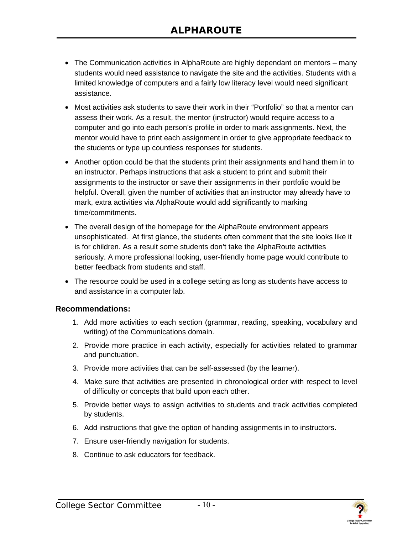- The Communication activities in AlphaRoute are highly dependant on mentors many students would need assistance to navigate the site and the activities. Students with a limited knowledge of computers and a fairly low literacy level would need significant assistance.
- Most activities ask students to save their work in their "Portfolio" so that a mentor can assess their work. As a result, the mentor (instructor) would require access to a computer and go into each person's profile in order to mark assignments. Next, the mentor would have to print each assignment in order to give appropriate feedback to the students or type up countless responses for students.
- Another option could be that the students print their assignments and hand them in to an instructor. Perhaps instructions that ask a student to print and submit their assignments to the instructor or save their assignments in their portfolio would be helpful. Overall, given the number of activities that an instructor may already have to mark, extra activities via AlphaRoute would add significantly to marking time/commitments.
- The overall design of the homepage for the AlphaRoute environment appears unsophisticated. At first glance, the students often comment that the site looks like it is for children. As a result some students don't take the AlphaRoute activities seriously. A more professional looking, user-friendly home page would contribute to better feedback from students and staff.
- The resource could be used in a college setting as long as students have access to and assistance in a computer lab.

#### **Recommendations:**

- 1. Add more activities to each section (grammar, reading, speaking, vocabulary and writing) of the Communications domain.
- 2. Provide more practice in each activity, especially for activities related to grammar and punctuation.
- 3. Provide more activities that can be self-assessed (by the learner).
- 4. Make sure that activities are presented in chronological order with respect to level of difficulty or concepts that build upon each other.
- 5. Provide better ways to assign activities to students and track activities completed by students.
- 6. Add instructions that give the option of handing assignments in to instructors.
- 7. Ensure user-friendly navigation for students.
- 8. Continue to ask educators for feedback.

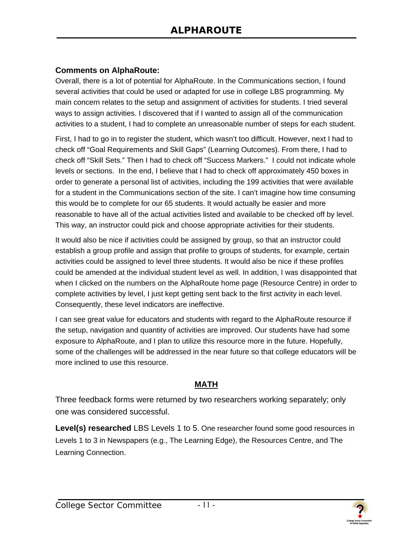#### <span id="page-13-0"></span>**Comments on AlphaRoute:**

Overall, there is a lot of potential for AlphaRoute. In the Communications section, I found several activities that could be used or adapted for use in college LBS programming. My main concern relates to the setup and assignment of activities for students. I tried several ways to assign activities. I discovered that if I wanted to assign all of the communication activities to a student, I had to complete an unreasonable number of steps for each student.

First, I had to go in to register the student, which wasn't too difficult. However, next I had to check off "Goal Requirements and Skill Gaps" (Learning Outcomes). From there, I had to check off "Skill Sets." Then I had to check off "Success Markers." I could not indicate whole levels or sections. In the end, I believe that I had to check off approximately 450 boxes in order to generate a personal list of activities, including the 199 activities that were available for a student in the Communications section of the site. I can't imagine how time consuming this would be to complete for our 65 students. It would actually be easier and more reasonable to have all of the actual activities listed and available to be checked off by level. This way, an instructor could pick and choose appropriate activities for their students.

It would also be nice if activities could be assigned by group, so that an instructor could establish a group profile and assign that profile to groups of students, for example, certain activities could be assigned to level three students. It would also be nice if these profiles could be amended at the individual student level as well. In addition, I was disappointed that when I clicked on the numbers on the AlphaRoute home page (Resource Centre) in order to complete activities by level, I just kept getting sent back to the first activity in each level. Consequently, these level indicators are ineffective.

I can see great value for educators and students with regard to the AlphaRoute resource if the setup, navigation and quantity of activities are improved. Our students have had some exposure to AlphaRoute, and I plan to utilize this resource more in the future. Hopefully, some of the challenges will be addressed in the near future so that college educators will be more inclined to use this resource.

#### **MATH**

Three feedback forms were returned by two researchers working separately; only one was considered successful.

**Level(s) researched** LBS Levels 1 to 5. One researcher found some good resources in Levels 1 to 3 in Newspapers (e.g., The Learning Edge), the Resources Centre, and The Learning Connection.

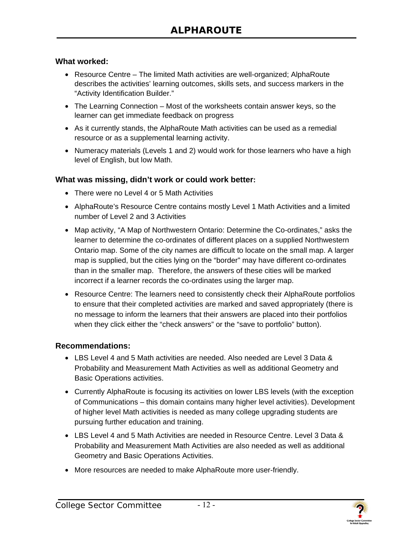#### **What worked:**

- Resource Centre The limited Math activities are well-organized; AlphaRoute describes the activities' learning outcomes, skills sets, and success markers in the "Activity Identification Builder."
- The Learning Connection Most of the worksheets contain answer keys, so the learner can get immediate feedback on progress
- As it currently stands, the AlphaRoute Math activities can be used as a remedial resource or as a supplemental learning activity.
- Numeracy materials (Levels 1 and 2) would work for those learners who have a high level of English, but low Math.

#### **What was missing, didn't work or could work better:**

- There were no Level 4 or 5 Math Activities
- AlphaRoute's Resource Centre contains mostly Level 1 Math Activities and a limited number of Level 2 and 3 Activities
- Map activity, "A Map of Northwestern Ontario: Determine the Co-ordinates," asks the learner to determine the co-ordinates of different places on a supplied Northwestern Ontario map. Some of the city names are difficult to locate on the small map. A larger map is supplied, but the cities lying on the "border" may have different co-ordinates than in the smaller map. Therefore, the answers of these cities will be marked incorrect if a learner records the co-ordinates using the larger map.
- Resource Centre: The learners need to consistently check their AlphaRoute portfolios to ensure that their completed activities are marked and saved appropriately (there is no message to inform the learners that their answers are placed into their portfolios when they click either the "check answers" or the "save to portfolio" button).

#### **Recommendations:**

- LBS Level 4 and 5 Math activities are needed. Also needed are Level 3 Data & Probability and Measurement Math Activities as well as additional Geometry and Basic Operations activities.
- Currently AlphaRoute is focusing its activities on lower LBS levels (with the exception of Communications – this domain contains many higher level activities). Development of higher level Math activities is needed as many college upgrading students are pursuing further education and training.
- LBS Level 4 and 5 Math Activities are needed in Resource Centre. Level 3 Data & Probability and Measurement Math Activities are also needed as well as additional Geometry and Basic Operations Activities.
- More resources are needed to make AlphaRoute more user-friendly.

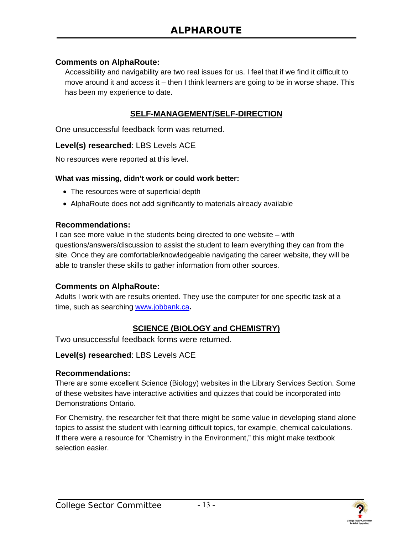#### <span id="page-15-0"></span>**Comments on AlphaRoute:**

Accessibility and navigability are two real issues for us. I feel that if we find it difficult to move around it and access it – then I think learners are going to be in worse shape. This has been my experience to date.

#### **SELF-MANAGEMENT/SELF-DIRECTION**

One unsuccessful feedback form was returned.

#### **Level(s) researched**: LBS Levels ACE

No resources were reported at this level.

#### **What was missing, didn't work or could work better:**

- The resources were of superficial depth
- AlphaRoute does not add significantly to materials already available

#### **Recommendations:**

I can see more value in the students being directed to one website – with questions/answers/discussion to assist the student to learn everything they can from the site. Once they are comfortable/knowledgeable navigating the career website, they will be able to transfer these skills to gather information from other sources.

#### **Comments on AlphaRoute:**

Adults I work with are results oriented. They use the computer for one specific task at a time, such as searching www.jobbank.ca**.**

#### **SCIENCE (BIOLOGY and CHEMISTRY)**

Two unsuccessful feedback forms were returned.

#### **Level(s) researched**: LBS Levels ACE

#### **Recommendations:**

There are some excellent Science (Biology) websites in the Library Services Section. Some of these websites have interactive activities and quizzes that could be incorporated into Demonstrations Ontario.

For Chemistry, the researcher felt that there might be some value in developing stand alone topics to assist the student with learning difficult topics, for example, chemical calculations. If there were a resource for "Chemistry in the Environment," this might make textbook selection easier.

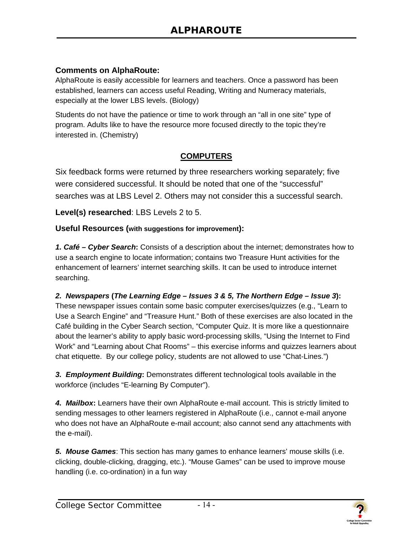#### <span id="page-16-0"></span>**Comments on AlphaRoute:**

AlphaRoute is easily accessible for learners and teachers. Once a password has been established, learners can access useful Reading, Writing and Numeracy materials, especially at the lower LBS levels. (Biology)

Students do not have the patience or time to work through an "all in one site" type of program. Adults like to have the resource more focused directly to the topic they're interested in. (Chemistry)

#### **COMPUTERS**

Six feedback forms were returned by three researchers working separately; five were considered successful. It should be noted that one of the "successful" searches was at LBS Level 2. Others may not consider this a successful search.

**Level(s) researched**: LBS Levels 2 to 5.

#### **Useful Resources (with suggestions for improvement):**

*1. Café – Cyber Search***:** Consists of a description about the internet; demonstrates how to use a search engine to locate information; contains two Treasure Hunt activities for the enhancement of learners' internet searching skills. It can be used to introduce internet searching.

#### *2. Newspapers* **(***The Learning Edge – Issues 3 & 5, The Northern Edge – Issue 3***):**

These newspaper issues contain some basic computer exercises/quizzes (e.g., "Learn to Use a Search Engine" and "Treasure Hunt." Both of these exercises are also located in the Café building in the Cyber Search section, "Computer Quiz. It is more like a questionnaire about the learner's ability to apply basic word-processing skills, "Using the Internet to Find Work" and "Learning about Chat Rooms" – this exercise informs and quizzes learners about chat etiquette. By our college policy, students are not allowed to use "Chat-Lines.")

*3. Employment Building***:** Demonstrates different technological tools available in the workforce (includes "E-learning By Computer").

*4. Mailbox***:** Learners have their own AlphaRoute e-mail account. This is strictly limited to sending messages to other learners registered in AlphaRoute (i.e., cannot e-mail anyone who does not have an AlphaRoute e-mail account; also cannot send any attachments with the e-mail).

*5. Mouse Games*: This section has many games to enhance learners' mouse skills (i.e. clicking, double-clicking, dragging, etc.). "Mouse Games" can be used to improve mouse handling (i.e. co-ordination) in a fun way

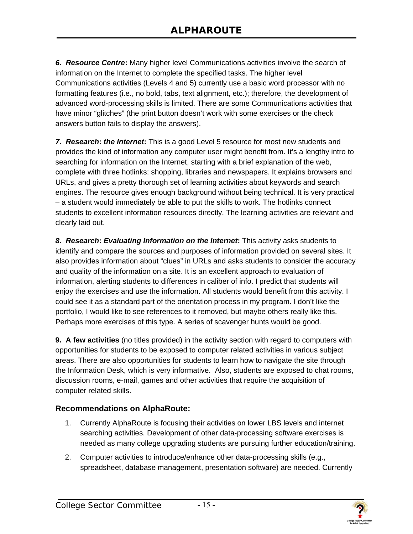*6. Resource Centre***:** Many higher level Communications activities involve the search of information on the Internet to complete the specified tasks. The higher level Communications activities (Levels 4 and 5) currently use a basic word processor with no formatting features (i.e., no bold, tabs, text alignment, etc.); therefore, the development of advanced word-processing skills is limited. There are some Communications activities that have minor "glitches" (the print button doesn't work with some exercises or the check answers button fails to display the answers).

*7. Research***:** *the Internet***:** This is a good Level 5 resource for most new students and provides the kind of information any computer user might benefit from. It's a lengthy intro to searching for information on the Internet, starting with a brief explanation of the web, complete with three hotlinks: shopping, libraries and newspapers. It explains browsers and URLs, and gives a pretty thorough set of learning activities about keywords and search engines. The resource gives enough background without being technical. It is very practical – a student would immediately be able to put the skills to work. The hotlinks connect students to excellent information resources directly. The learning activities are relevant and clearly laid out.

*8. Research***:** *Evaluating Information on the Internet***:** This activity asks students to identify and compare the sources and purposes of information provided on several sites. It also provides information about "clues" in URLs and asks students to consider the accuracy and quality of the information on a site. It is *a*n excellent approach to evaluation of information, alerting students to differences in caliber of info. I predict that students will enjoy the exercises and use the information. All students would benefit from this activity. I could see it as a standard part of the orientation process in my program. I don't like the portfolio, I would like to see references to it removed, but maybe others really like this. Perhaps more exercises of this type. A series of scavenger hunts would be good.

**9. A few activities** (no titles provided) in the activity section with regard to computers with opportunities for students to be exposed to computer related activities in various subject areas. There are also opportunities for students to learn how to navigate the site through the Information Desk, which is very informative. Also, students are exposed to chat rooms, discussion rooms, e-mail, games and other activities that require the acquisition of computer related skills.

#### **Recommendations on AlphaRoute:**

- 1. Currently AlphaRoute is focusing their activities on lower LBS levels and internet searching activities. Development of other data-processing software exercises is needed as many college upgrading students are pursuing further education/training.
- 2. Computer activities to introduce/enhance other data-processing skills (e.g., spreadsheet, database management, presentation software) are needed. Currently

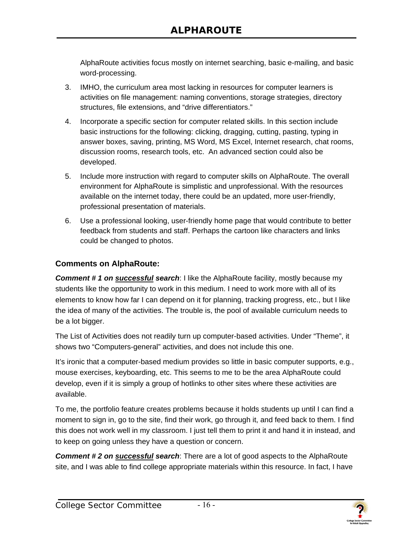AlphaRoute activities focus mostly on internet searching, basic e-mailing, and basic word-processing.

- 3. IMHO, the curriculum area most lacking in resources for computer learners is activities on file management: naming conventions, storage strategies, directory structures, file extensions, and "drive differentiators."
- 4. Incorporate a specific section for computer related skills. In this section include basic instructions for the following: clicking, dragging, cutting, pasting, typing in answer boxes, saving, printing, MS Word, MS Excel, Internet research, chat rooms, discussion rooms, research tools, etc. An advanced section could also be developed.
- 5. Include more instruction with regard to computer skills on AlphaRoute. The overall environment for AlphaRoute is simplistic and unprofessional. With the resources available on the internet today, there could be an updated, more user-friendly, professional presentation of materials.
- 6. Use a professional looking, user-friendly home page that would contribute to better feedback from students and staff. Perhaps the cartoon like characters and links could be changed to photos.

#### **Comments on AlphaRoute:**

**Comment # 1 on successful search:** I like the AlphaRoute facility, mostly because my students like the opportunity to work in this medium. I need to work more with all of its elements to know how far I can depend on it for planning, tracking progress, etc., but I like the idea of many of the activities. The trouble is, the pool of available curriculum needs to be a lot bigger.

The List of Activities does not readily turn up computer-based activities. Under "Theme", it shows two "Computers-general" activities, and does not include this one.

It's ironic that a computer-based medium provides so little in basic computer supports, e.g., mouse exercises, keyboarding, etc. This seems to me to be the area AlphaRoute could develop, even if it is simply a group of hotlinks to other sites where these activities are available.

To me, the portfolio feature creates problems because it holds students up until I can find a moment to sign in, go to the site, find their work, go through it, and feed back to them. I find this does not work well in my classroom. I just tell them to print it and hand it in instead, and to keep on going unless they have a question or concern.

*Comment # 2 on successful search*: There are a lot of good aspects to the AlphaRoute site, and I was able to find college appropriate materials within this resource. In fact, I have

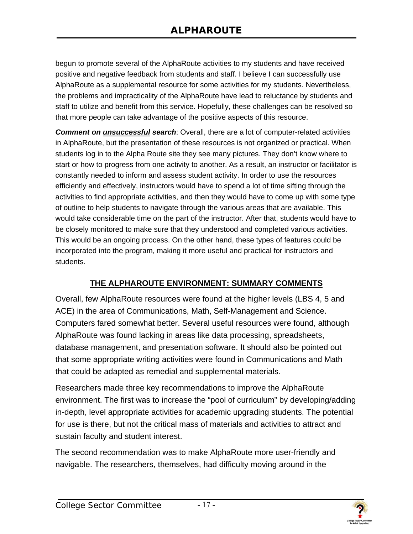<span id="page-19-0"></span>begun to promote several of the AlphaRoute activities to my students and have received positive and negative feedback from students and staff. I believe I can successfully use AlphaRoute as a supplemental resource for some activities for my students. Nevertheless, the problems and impracticality of the AlphaRoute have lead to reluctance by students and staff to utilize and benefit from this service. Hopefully, these challenges can be resolved so that more people can take advantage of the positive aspects of this resource.

*Comment on unsuccessful search*: Overall, there are a lot of computer-related activities in AlphaRoute, but the presentation of these resources is not organized or practical. When students log in to the Alpha Route site they see many pictures. They don't know where to start or how to progress from one activity to another. As a result, an instructor or facilitator is constantly needed to inform and assess student activity. In order to use the resources efficiently and effectively, instructors would have to spend a lot of time sifting through the activities to find appropriate activities, and then they would have to come up with some type of outline to help students to navigate through the various areas that are available. This would take considerable time on the part of the instructor. After that, students would have to be closely monitored to make sure that they understood and completed various activities. This would be an ongoing process. On the other hand, these types of features could be incorporated into the program, making it more useful and practical for instructors and students.

#### **THE ALPHAROUTE ENVIRONMENT: SUMMARY COMMENTS**

Overall, few AlphaRoute resources were found at the higher levels (LBS 4, 5 and ACE) in the area of Communications, Math, Self-Management and Science. Computers fared somewhat better. Several useful resources were found, although AlphaRoute was found lacking in areas like data processing, spreadsheets, database management, and presentation software. It should also be pointed out that some appropriate writing activities were found in Communications and Math that could be adapted as remedial and supplemental materials.

Researchers made three key recommendations to improve the AlphaRoute environment. The first was to increase the "pool of curriculum" by developing/adding in-depth, level appropriate activities for academic upgrading students. The potential for use is there, but not the critical mass of materials and activities to attract and sustain faculty and student interest.

The second recommendation was to make AlphaRoute more user-friendly and navigable. The researchers, themselves, had difficulty moving around in the

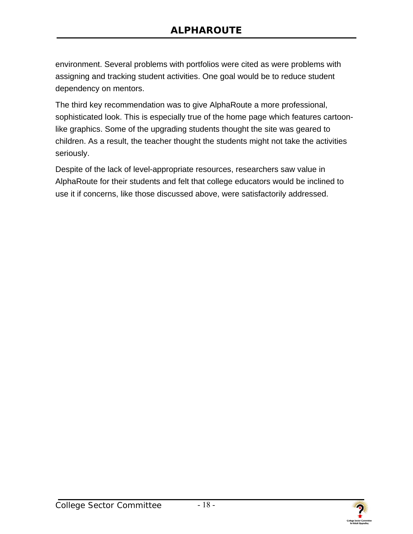environment. Several problems with portfolios were cited as were problems with assigning and tracking student activities. One goal would be to reduce student dependency on mentors.

The third key recommendation was to give AlphaRoute a more professional, sophisticated look. This is especially true of the home page which features cartoonlike graphics. Some of the upgrading students thought the site was geared to children. As a result, the teacher thought the students might not take the activities seriously.

Despite of the lack of level-appropriate resources, researchers saw value in AlphaRoute for their students and felt that college educators would be inclined to use it if concerns, like those discussed above, were satisfactorily addressed.

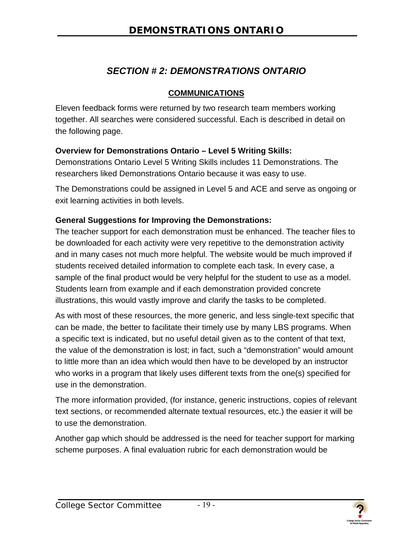## *SECTION # 2: DEMONSTRATIONS ONTARIO*

#### **COMMUNICATIONS**

<span id="page-21-0"></span>Eleven feedback forms were returned by two research team members working together. All searches were considered successful. Each is described in detail on the following page.

#### **Overview for Demonstrations Ontario – Level 5 Writing Skills:**

Demonstrations Ontario Level 5 Writing Skills includes 11 Demonstrations. The researchers liked Demonstrations Ontario because it was easy to use.

The Demonstrations could be assigned in Level 5 and ACE and serve as ongoing or exit learning activities in both levels.

#### **General Suggestions for Improving the Demonstrations:**

The teacher support for each demonstration must be enhanced. The teacher files to be downloaded for each activity were very repetitive to the demonstration activity and in many cases not much more helpful. The website would be much improved if students received detailed information to complete each task. In every case, a sample of the final product would be very helpful for the student to use as a model. Students learn from example and if each demonstration provided concrete illustrations, this would vastly improve and clarify the tasks to be completed.

As with most of these resources, the more generic, and less single-text specific that can be made, the better to facilitate their timely use by many LBS programs. When a specific text is indicated, but no useful detail given as to the content of that text, the value of the demonstration is lost; in fact, such a "demonstration" would amount to little more than an idea which would then have to be developed by an instructor who works in a program that likely uses different texts from the one(s) specified for use in the demonstration.

The more information provided, (for instance, generic instructions, copies of relevant text sections, or recommended alternate textual resources, etc.) the easier it will be to use the demonstration.

Another gap which should be addressed is the need for teacher support for marking scheme purposes. A final evaluation rubric for each demonstration would be

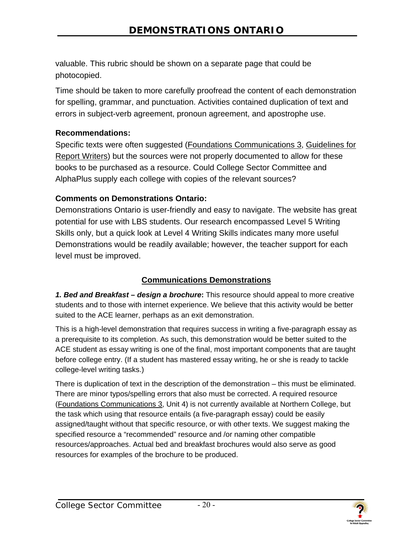valuable. This rubric should be shown on a separate page that could be photocopied.

Time should be taken to more carefully proofread the content of each demonstration for spelling, grammar, and punctuation. Activities contained duplication of text and errors in subject-verb agreement, pronoun agreement, and apostrophe use.

#### **Recommendations:**

Specific texts were often suggested (Foundations Communications 3, Guidelines for Report Writers) but the sources were not properly documented to allow for these books to be purchased as a resource. Could College Sector Committee and AlphaPlus supply each college with copies of the relevant sources?

#### **Comments on Demonstrations Ontario:**

Demonstrations Ontario is user-friendly and easy to navigate. The website has great potential for use with LBS students. Our research encompassed Level 5 Writing Skills only, but a quick look at Level 4 Writing Skills indicates many more useful Demonstrations would be readily available; however, the teacher support for each level must be improved.

#### **Communications Demonstrations**

*1. Bed and Breakfast – design a brochure***:** This resource should appeal to more creative students and to those with internet experience. We believe that this activity would be better suited to the ACE learner, perhaps as an exit demonstration.

This is a high-level demonstration that requires success in writing a five-paragraph essay as a prerequisite to its completion. As such, this demonstration would be better suited to the ACE student as essay writing is one of the final, most important components that are taught before college entry. (If a student has mastered essay writing, he or she is ready to tackle college-level writing tasks.)

There is duplication of text in the description of the demonstration – this must be eliminated. There are minor typos/spelling errors that also must be corrected. A required resource (Foundations Communications 3, Unit 4) is not currently available at Northern College, but the task which using that resource entails (a five-paragraph essay) could be easily assigned/taught without that specific resource, or with other texts. We suggest making the specified resource a "recommended" resource and /or naming other compatible resources/approaches. Actual bed and breakfast brochures would also serve as good resources for examples of the brochure to be produced.

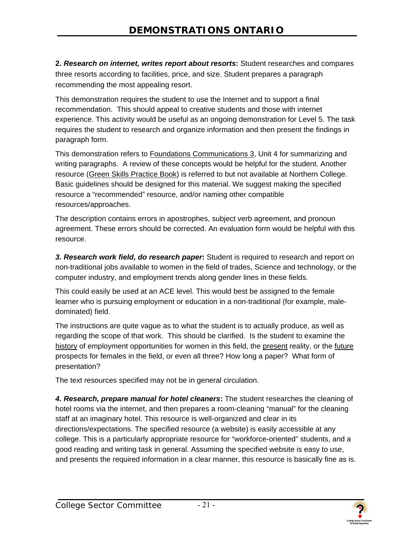**2.** *Research on internet, writes report about resorts***:** Student researches and compares three resorts according to facilities, price, and size. Student prepares a paragraph recommending the most appealing resort.

This demonstration requires the student to use the Internet and to support a final recommendation. This should appeal to creative students and those with internet experience. This activity would be useful as an ongoing demonstration for Level 5. The task requires the student to research and organize information and then present the findings in paragraph form.

This demonstration refers to Foundations Communications 3, Unit 4 for summarizing and writing paragraphs. A review of these concepts would be helpful for the student. Another resource (Green Skills Practice Book) is referred to but not available at Northern College. Basic guidelines should be designed for this material. We suggest making the specified resource a "recommended" resource, and/or naming other compatible resources/approaches.

The description contains errors in apostrophes, subject verb agreement, and pronoun agreement. These errors should be corrected. An evaluation form would be helpful with this resource.

*3. Research work field, do research paper***:** Student is required to research and report on non-traditional jobs available to women in the field of trades, Science and technology, or the computer industry, and employment trends along gender lines in these fields.

This could easily be used at an ACE level. This would best be assigned to the female learner who is pursuing employment or education in a non-traditional (for example, maledominated) field.

The instructions are quite vague as to what the student is to actually produce, as well as regarding the scope of that work. This should be clarified. Is the student to examine the history of employment opportunities for women in this field, the present reality, or the future prospects for females in the field, or even all three? How long a paper? What form of presentation?

The text resources specified may not be in general circulation.

*4. Research, prepare manual for hotel cleaners***:** The student researches the cleaning of hotel rooms via the internet, and then prepares a room-cleaning "manual" for the cleaning staff at an imaginary hotel. This resource is well-organized and clear in its directions/expectations. The specified resource (a website) is easily accessible at any college. This is a particularly appropriate resource for "workforce-oriented" students, and a good reading and writing task in general. Assuming the specified website is easy to use, and presents the required information in a clear manner, this resource is basically fine as is.

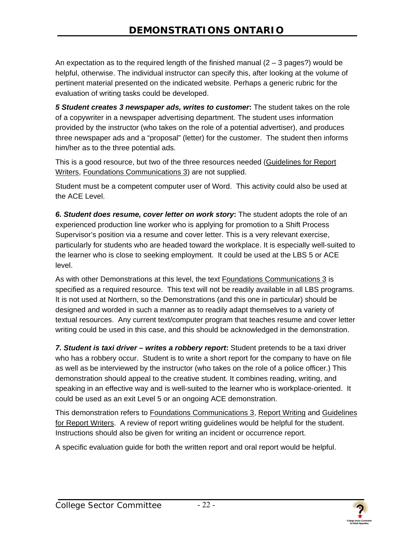An expectation as to the required length of the finished manual  $(2 - 3$  pages?) would be helpful, otherwise. The individual instructor can specify this, after looking at the volume of pertinent material presented on the indicated website. Perhaps a generic rubric for the evaluation of writing tasks could be developed.

*5 Student creates 3 newspaper ads, writes to customer***:** The student takes on the role of a copywriter in a newspaper advertising department. The student uses information provided by the instructor (who takes on the role of a potential advertiser), and produces three newspaper ads and a "proposal" (letter) for the customer. The student then informs him/her as to the three potential ads.

This is a good resource, but two of the three resources needed (Guidelines for Report Writers, Foundations Communications 3) are not supplied.

Student must be a competent computer user of Word. This activity could also be used at the ACE Level.

*6. Student does resume, cover letter on work story***:** The student adopts the role of an experienced production line worker who is applying for promotion to a Shift Process Supervisor's position via a resume and cover letter. This is a very relevant exercise, particularly for students who are headed toward the workplace. It is especially well-suited to the learner who is close to seeking employment. It could be used at the LBS 5 or ACE level.

As with other Demonstrations at this level, the text Foundations Communications 3 is specified as a required resource. This text will not be readily available in all LBS programs. It is not used at Northern, so the Demonstrations (and this one in particular) should be designed and worded in such a manner as to readily adapt themselves to a variety of textual resources. Any current text/computer program that teaches resume and cover letter writing could be used in this case, and this should be acknowledged in the demonstration.

*7. Student is taxi driver – writes a robbery report***:** Student pretends to be a taxi driver who has a robbery occur. Student is to write a short report for the company to have on file as well as be interviewed by the instructor (who takes on the role of a police officer.) This demonstration should appeal to the creative student. It combines reading, writing, and speaking in an effective way and is well-suited to the learner who is workplace-oriented. It could be used as an exit Level 5 or an ongoing ACE demonstration.

This demonstration refers to Foundations Communications 3, Report Writing and Guidelines for Report Writers. A review of report writing guidelines would be helpful for the student. Instructions should also be given for writing an incident or occurrence report.

A specific evaluation guide for both the written report and oral report would be helpful.

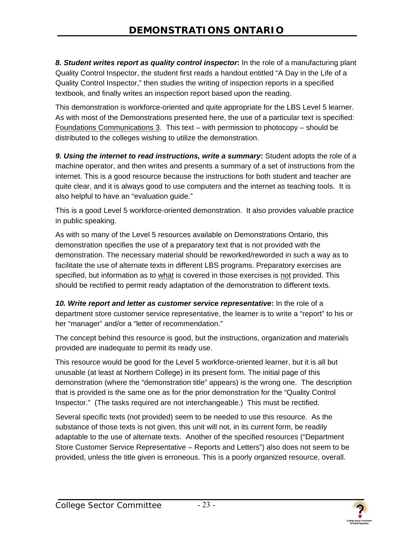*8. Student writes report as quality control inspector***:** In the role of a manufacturing plant Quality Control Inspector, the student first reads a handout entitled "A Day in the Life of a Quality Control Inspector," then studies the writing of inspection reports in a specified textbook, and finally writes an inspection report based upon the reading.

This demonstration is workforce-oriented and quite appropriate for the LBS Level 5 learner. As with most of the Demonstrations presented here, the use of a particular text is specified: Foundations Communications 3. This text – with permission to photocopy – should be distributed to the colleges wishing to utilize the demonstration.

*9. Using the internet to read instructions, write a summary***:** Student adopts the role of a machine operator, and then writes and presents a summary of a set of instructions from the internet. This is a good resource because the instructions for both student and teacher are quite clear, and it is always good to use computers and the internet as teaching tools. It is also helpful to have an "evaluation guide."

This is a good Level 5 workforce-oriented demonstration. It also provides valuable practice in public speaking.

As with so many of the Level 5 resources available on Demonstrations Ontario, this demonstration specifies the use of a preparatory text that is not provided with the demonstration. The necessary material should be reworked/reworded in such a way as to facilitate the use of alternate texts in different LBS programs. Preparatory exercises are specified, but information as to what is covered in those exercises is not provided. This should be rectified to permit ready adaptation of the demonstration to different texts.

*10. Write report and letter as customer service representative***:** In the role of a department store customer service representative, the learner is to write a "report" to his or her "manager" and/or a "letter of recommendation."

The concept behind this resource is good, but the instructions, organization and materials provided are inadequate to permit its ready use.

This resource would be good for the Level 5 workforce-oriented learner, but it is all but unusable (at least at Northern College) in its present form. The initial page of this demonstration (where the "demonstration title" appears) is the wrong one. The description that is provided is the same one as for the prior demonstration for the "Quality Control Inspector." (The tasks required are not interchangeable.) This must be rectified.

Several specific texts (not provided) seem to be needed to use this resource. As the substance of those texts is not given, this unit will not, in its current form, be readily adaptable to the use of alternate texts. Another of the specified resources ("Department Store Customer Service Representative – Reports and Letters") also does not seem to be provided, unless the title given is erroneous. This is a poorly organized resource, overall.

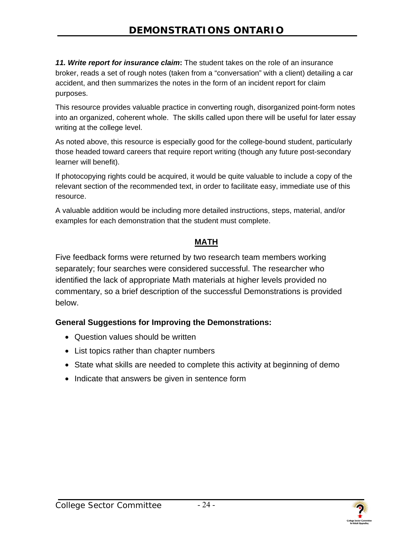<span id="page-26-0"></span>*11. Write report for insurance claim***:** The student takes on the role of an insurance broker, reads a set of rough notes (taken from a "conversation" with a client) detailing a car accident, and then summarizes the notes in the form of an incident report for claim purposes.

This resource provides valuable practice in converting rough, disorganized point-form notes into an organized, coherent whole. The skills called upon there will be useful for later essay writing at the college level.

As noted above, this resource is especially good for the college-bound student, particularly those headed toward careers that require report writing (though any future post-secondary learner will benefit).

If photocopying rights could be acquired, it would be quite valuable to include a copy of the relevant section of the recommended text, in order to facilitate easy, immediate use of this resource.

A valuable addition would be including more detailed instructions, steps, material, and/or examples for each demonstration that the student must complete.

#### **MATH**

Five feedback forms were returned by two research team members working separately; four searches were considered successful. The researcher who identified the lack of appropriate Math materials at higher levels provided no commentary, so a brief description of the successful Demonstrations is provided below.

#### **General Suggestions for Improving the Demonstrations:**

- Question values should be written
- List topics rather than chapter numbers
- State what skills are needed to complete this activity at beginning of demo
- Indicate that answers be given in sentence form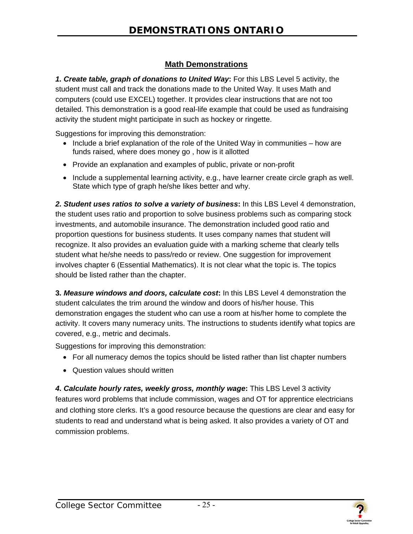#### **Math Demonstrations**

*1. Create table, graph of donations to United Way***:** For this LBS Level 5 activity, the student must call and track the donations made to the United Way. It uses Math and computers (could use EXCEL) together. It provides clear instructions that are not too detailed. This demonstration is a good real-life example that could be used as fundraising activity the student might participate in such as hockey or ringette.

Suggestions for improving this demonstration:

- Include a brief explanation of the role of the United Way in communities how are funds raised, where does money go , how is it allotted
- Provide an explanation and examples of public, private or non-profit
- Include a supplemental learning activity, e.g., have learner create circle graph as well. State which type of graph he/she likes better and why.

*2. Student uses ratios to solve a variety of business***:** In this LBS Level 4 demonstration, the student uses ratio and proportion to solve business problems such as comparing stock investments, and automobile insurance. The demonstration included good ratio and proportion questions for business students. It uses company names that student will recognize. It also provides an evaluation guide with a marking scheme that clearly tells student what he/she needs to pass/redo or review. One suggestion for improvement involves chapter 6 (Essential Mathematics). It is not clear what the topic is. The topics should be listed rather than the chapter.

**3***. Measure windows and doors, calculate cost***:** In this LBS Level 4 demonstration the student calculates the trim around the window and doors of his/her house. This demonstration engages the student who can use a room at his/her home to complete the activity. It covers many numeracy units. The instructions to students identify what topics are covered, e.g., metric and decimals.

Suggestions for improving this demonstration:

- For all numeracy demos the topics should be listed rather than list chapter numbers
- Question values should written

*4. Calculate hourly rates, weekly gross, monthly wage***:** This LBS Level 3 activity features word problems that include commission, wages and OT for apprentice electricians and clothing store clerks. It's a good resource because the questions are clear and easy for students to read and understand what is being asked. It also provides a variety of OT and commission problems.

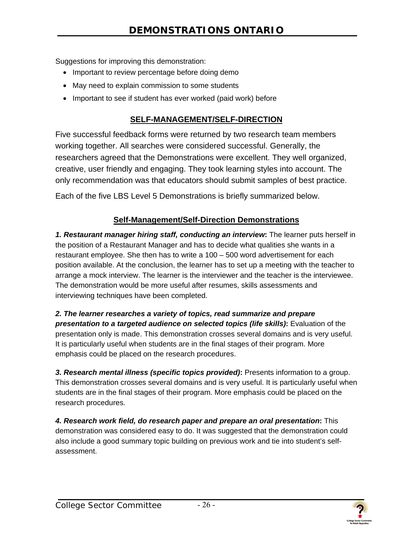<span id="page-28-0"></span>Suggestions for improving this demonstration:

- Important to review percentage before doing demo
- May need to explain commission to some students
- Important to see if student has ever worked (paid work) before

#### **SELF-MANAGEMENT/SELF-DIRECTION**

Five successful feedback forms were returned by two research team members working together. All searches were considered successful. Generally, the researchers agreed that the Demonstrations were excellent. They well organized, creative, user friendly and engaging. They took learning styles into account. The only recommendation was that educators should submit samples of best practice.

Each of the five LBS Level 5 Demonstrations is briefly summarized below.

#### **Self-Management/Self-Direction Demonstrations**

*1. Restaurant manager hiring staff, conducting an interview***:** The learner puts herself in the position of a Restaurant Manager and has to decide what qualities she wants in a restaurant employee. She then has to write a 100 – 500 word advertisement for each position available. At the conclusion, the learner has to set up a meeting with the teacher to arrange a mock interview. The learner is the interviewer and the teacher is the interviewee. The demonstration would be more useful after resumes, skills assessments and interviewing techniques have been completed.

*2. The learner researches a variety of topics, read summarize and prepare presentation to a targeted audience on selected topics (life skills)***:** Evaluation of the presentation only is made. This demonstration crosses several domains and is very useful. It is particularly useful when students are in the final stages of their program. More emphasis could be placed on the research procedures.

*3. Research mental illness (specific topics provided)***:** Presents information to a group. This demonstration crosses several domains and is very useful. It is particularly useful when students are in the final stages of their program. More emphasis could be placed on the research procedures.

*4. Research work field, do research paper and prepare an oral presentation***:** This demonstration was considered easy to do. It was suggested that the demonstration could also include a good summary topic building on previous work and tie into student's selfassessment.

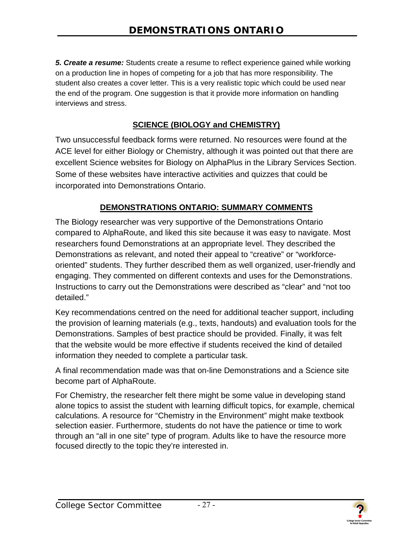<span id="page-29-0"></span>*5. Create a resume:* Students create a resume to reflect experience gained while working on a production line in hopes of competing for a job that has more responsibility. The student also creates a cover letter. This is a very realistic topic which could be used near the end of the program. One suggestion is that it provide more information on handling interviews and stress.

#### **SCIENCE (BIOLOGY and CHEMISTRY)**

Two unsuccessful feedback forms were returned. No resources were found at the ACE level for either Biology or Chemistry, although it was pointed out that there are excellent Science websites for Biology on AlphaPlus in the Library Services Section. Some of these websites have interactive activities and quizzes that could be incorporated into Demonstrations Ontario.

#### **DEMONSTRATIONS ONTARIO: SUMMARY COMMENTS**

The Biology researcher was very supportive of the Demonstrations Ontario compared to AlphaRoute, and liked this site because it was easy to navigate. Most researchers found Demonstrations at an appropriate level. They described the Demonstrations as relevant, and noted their appeal to "creative" or "workforceoriented" students. They further described them as well organized, user-friendly and engaging. They commented on different contexts and uses for the Demonstrations. Instructions to carry out the Demonstrations were described as "clear" and "not too detailed."

Key recommendations centred on the need for additional teacher support, including the provision of learning materials (e.g., texts, handouts) and evaluation tools for the Demonstrations. Samples of best practice should be provided. Finally, it was felt that the website would be more effective if students received the kind of detailed information they needed to complete a particular task.

A final recommendation made was that on-line Demonstrations and a Science site become part of AlphaRoute.

For Chemistry, the researcher felt there might be some value in developing stand alone topics to assist the student with learning difficult topics, for example, chemical calculations. A resource for "Chemistry in the Environment" might make textbook selection easier. Furthermore, students do not have the patience or time to work through an "all in one site" type of program. Adults like to have the resource more focused directly to the topic they're interested in.

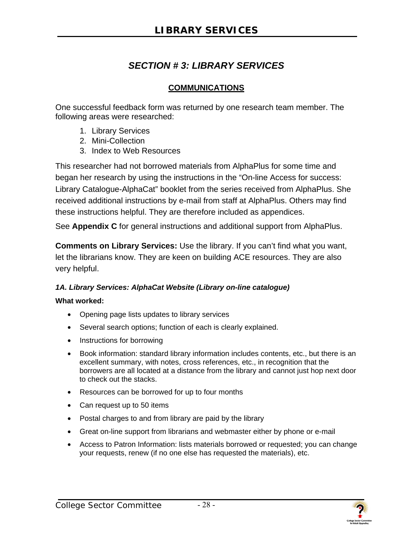## *SECTION # 3: LIBRARY SERVICES*

#### **COMMUNICATIONS**

One successful feedback form was returned by one research team member. The following areas were researched:

- 1. Library Services
- 2. Mini-Collection
- 3. Index to Web Resources

This researcher had not borrowed materials from AlphaPlus for some time and began her research by using the instructions in the "On-line Access for success: Library Catalogue-AlphaCat" booklet from the series received from AlphaPlus. She received additional instructions by e-mail from staff at AlphaPlus. Others may find these instructions helpful. They are therefore included as appendices.

See **Appendix C** for general instructions and additional support from AlphaPlus.

**Comments on Library Services:** Use the library. If you can't find what you want, let the librarians know. They are keen on building ACE resources. They are also very helpful.

#### *1A. Library Services: AlphaCat Website (Library on-line catalogue)*

#### **What worked:**

- Opening page lists updates to library services
- Several search options; function of each is clearly explained.
- Instructions for borrowing
- Book information: standard library information includes contents, etc., but there is an excellent summary, with notes, cross references, etc., in recognition that the borrowers are all located at a distance from the library and cannot just hop next door to check out the stacks.
- Resources can be borrowed for up to four months
- Can request up to 50 items
- Postal charges to and from library are paid by the library
- Great on-line support from librarians and webmaster either by phone or e-mail
- Access to Patron Information: lists materials borrowed or requested; you can change your requests, renew (if no one else has requested the materials), etc.

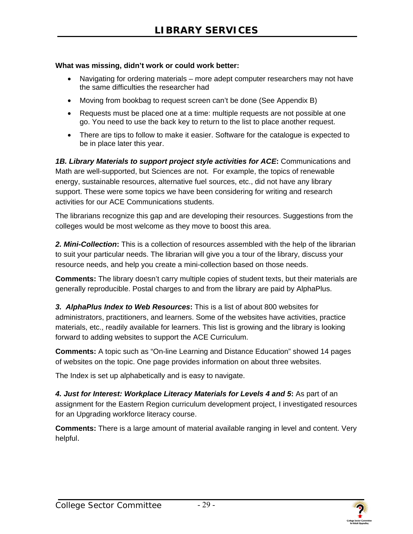#### **What was missing, didn't work or could work better:**

- Navigating for ordering materials more adept computer researchers may not have the same difficulties the researcher had
- Moving from bookbag to request screen can't be done (See Appendix B)
- Requests must be placed one at a time: multiple requests are not possible at one go. You need to use the back key to return to the list to place another request.
- There are tips to follow to make it easier. Software for the catalogue is expected to be in place later this year.

*1B. Library Materials to support project style activities for ACE***:** Communications and Math are well-supported, but Sciences are not. For example, the topics of renewable energy, sustainable resources, alternative fuel sources, etc., did not have any library support. These were some topics we have been considering for writing and research activities for our ACE Communications students.

The librarians recognize this gap and are developing their resources. Suggestions from the colleges would be most welcome as they move to boost this area.

*2. Mini-Collection***:** This is a collection of resources assembled with the help of the librarian to suit your particular needs. The librarian will give you a tour of the library, discuss your resource needs, and help you create a mini-collection based on those needs.

**Comments:** The library doesn't carry multiple copies of student texts, but their materials are generally reproducible. Postal charges to and from the library are paid by AlphaPlus.

*3. AlphaPlus Index to Web Resources***:** This is a list of about 800 websites for administrators, practitioners, and learners. Some of the websites have activities, practice materials, etc., readily available for learners. This list is growing and the library is looking forward to adding websites to support the ACE Curriculum.

**Comments:** A topic such as "On-line Learning and Distance Education" showed 14 pages of websites on the topic. One page provides information on about three websites.

The Index is set up alphabetically and is easy to navigate.

*4. Just for Interest: Workplace Literacy Materials for Levels 4 and 5***:** As part of an assignment for the Eastern Region curriculum development project, I investigated resources for an Upgrading workforce literacy course.

**Comments:** There is a large amount of material available ranging in level and content. Very helpful.



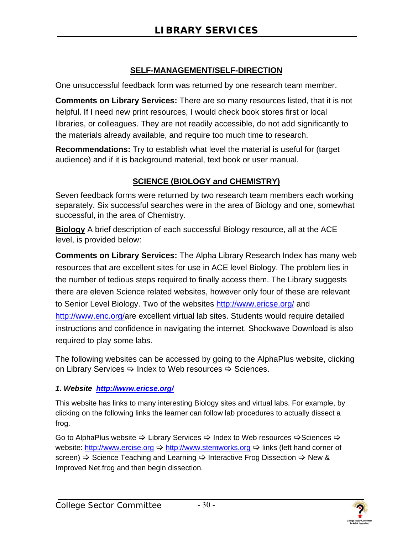#### **SELF-MANAGEMENT/SELF-DIRECTION**

<span id="page-32-0"></span>One unsuccessful feedback form was returned by one research team member.

**Comments on Library Services:** There are so many resources listed, that it is not helpful. If I need new print resources, I would check book stores first or local libraries, or colleagues. They are not readily accessible, do not add significantly to the materials already available, and require too much time to research.

**Recommendations:** Try to establish what level the material is useful for (target audience) and if it is background material, text book or user manual.

#### **SCIENCE (BIOLOGY and CHEMISTRY)**

Seven feedback forms were returned by two research team members each working separately. Six successful searches were in the area of Biology and one, somewhat successful, in the area of Chemistry.

**Biology** A brief description of each successful Biology resource, all at the ACE level, is provided below:

**Comments on Library Services:** The Alpha Library Research Index has many web resources that are excellent sites for use in ACE level Biology. The problem lies in the number of tedious steps required to finally access them. The Library suggests there are eleven Science related websites, however only four of these are relevant to Senior Level Biology. Two of the websites http://www.ericse.org/ and http://www.enc.org/are excellent virtual lab sites. Students would require detailed instructions and confidence in navigating the internet. Shockwave Download is also required to play some labs.

The following websites can be accessed by going to the AlphaPlus website, clicking on Library Services  $\Rightarrow$  Index to Web resources  $\Rightarrow$  Sciences.

#### *1. Website http://www.ericse.org/*

This website has links to many interesting Biology sites and virtual labs. For example, by clicking on the following links the learner can follow lab procedures to actually dissect a frog.

Go to AlphaPlus website  $\Rightarrow$  Library Services  $\Rightarrow$  Index to Web resources  $\Rightarrow$  Sciences  $\Rightarrow$ website: http://www.ercise.org  $\Rightarrow$  http://www.stemworks.org  $\Rightarrow$  links (left hand corner of screen)  $\Rightarrow$  Science Teaching and Learning  $\Rightarrow$  Interactive Frog Dissection  $\Rightarrow$  New & Improved Net.frog and then begin dissection.

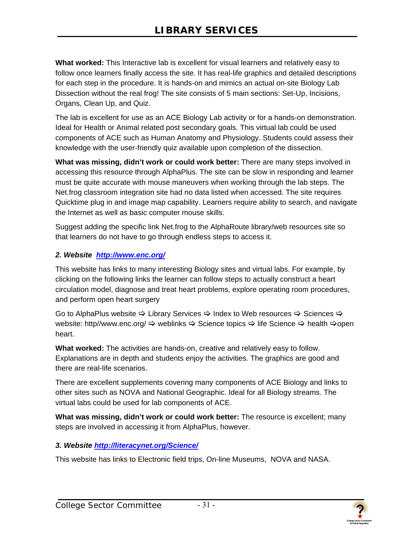**What worked:** This Interactive lab is excellent for visual learners and relatively easy to follow once learners finally access the site. It has real-life graphics and detailed descriptions for each step in the procedure. It is hands-on and mimics an actual on-site Biology Lab Dissection without the real frog! The site consists of 5 main sections: Set-Up, Incisions, Organs, Clean Up, and Quiz.

The lab is excellent for use as an ACE Biology Lab activity or for a hands-on demonstration. Ideal for Health or Animal related post secondary goals. This virtual lab could be used components of ACE such as Human Anatomy and Physiology. Students could assess their knowledge with the user-friendly quiz available upon completion of the dissection.

**What was missing, didn't work or could work better:** There are many steps involved in accessing this resource through AlphaPlus. The site can be slow in responding and learner must be quite accurate with mouse maneuvers when working through the lab steps. The Net.frog classroom integration site had no data listed when accessed. The site requires Quicktime plug in and image map capability. Learners require ability to search, and navigate the Internet as well as basic computer mouse skills.

Suggest adding the specific link Net.frog to the AlphaRoute library/web resources site so that learners do not have to go through endless steps to access it.

#### *2. Website http://www.enc.org/*

This website has links to many interesting Biology sites and virtual labs. For example, by clicking on the following links the learner can follow steps to actually construct a heart circulation model, diagnose and treat heart problems, explore operating room procedures, and perform open heart surgery

Go to AlphaPlus website  $\Rightarrow$  Library Services  $\Rightarrow$  Index to Web resources  $\Rightarrow$  Sciences  $\Rightarrow$ website: http//www.enc.org/  $\Rightarrow$  weblinks  $\Rightarrow$  Science topics  $\Rightarrow$  life Science  $\Rightarrow$  health  $\Rightarrow$  open heart.

**What worked:** The activities are hands-on, creative and relatively easy to follow. Explanations are in depth and students enjoy the activities. The graphics are good and there are real-life scenarios.

There are excellent supplements covering many components of ACE Biology and links to other sites such as NOVA and National Geographic. Ideal for all Biology streams. The virtual labs could be used for lab components of ACE.

**What was missing, didn't work or could work better:** The resource is excellent; many steps are involved in accessing it from AlphaPlus, however.

#### *3. Website http://literacynet.org/Science/*

This website has links to Electronic field trips, On-line Museums, NOVA and NASA.

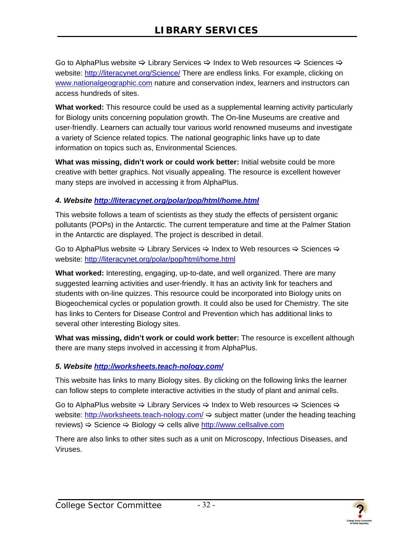Go to AlphaPlus website  $\Rightarrow$  Library Services  $\Rightarrow$  Index to Web resources  $\Rightarrow$  Sciences  $\Rightarrow$ website: http://literacynet.org/Science/ There are endless links. For example, clicking on www.nationalgeographic.com nature and conservation index, learners and instructors can access hundreds of sites.

**What worked:** This resource could be used as a supplemental learning activity particularly for Biology units concerning population growth. The On-line Museums are creative and user-friendly. Learners can actually tour various world renowned museums and investigate a variety of Science related topics. The national geographic links have up to date information on topics such as, Environmental Sciences.

**What was missing, didn't work or could work better:** Initial website could be more creative with better graphics. Not visually appealing. The resource is excellent however many steps are involved in accessing it from AlphaPlus.

#### *4. Website http://literacynet.org/polar/pop/html/home.html*

This website follows a team of scientists as they study the effects of persistent organic pollutants (POPs) in the Antarctic. The current temperature and time at the Palmer Station in the Antarctic are displayed. The project is described in detail.

Go to AlphaPlus website  $\Rightarrow$  Library Services  $\Rightarrow$  Index to Web resources  $\Rightarrow$  Sciences  $\Rightarrow$ website: http://literacynet.org/polar/pop/html/home.html

**What worked:** Interesting, engaging, up-to-date, and well organized. There are many suggested learning activities and user-friendly. It has an activity link for teachers and students with on-line quizzes. This resource could be incorporated into Biology units on Biogeochemical cycles or population growth. It could also be used for Chemistry. The site has links to Centers for Disease Control and Prevention which has additional links to several other interesting Biology sites.

**What was missing, didn't work or could work better:** The resource is excellent although there are many steps involved in accessing it from AlphaPlus.

#### *5. Website http://worksheets.teach-nology.com/*

This website has links to many Biology sites. By clicking on the following links the learner can follow steps to complete interactive activities in the study of plant and animal cells.

Go to AlphaPlus website  $\Rightarrow$  Library Services  $\Rightarrow$  Index to Web resources  $\Rightarrow$  Sciences  $\Rightarrow$ website: http://worksheets.teach-nology.com/ $\Rightarrow$  subject matter (under the heading teaching reviews)  $\Rightarrow$  Science  $\Rightarrow$  Biology  $\Rightarrow$  cells alive http://www.cellsalive.com

There are also links to other sites such as a unit on Microscopy, Infectious Diseases, and Viruses.

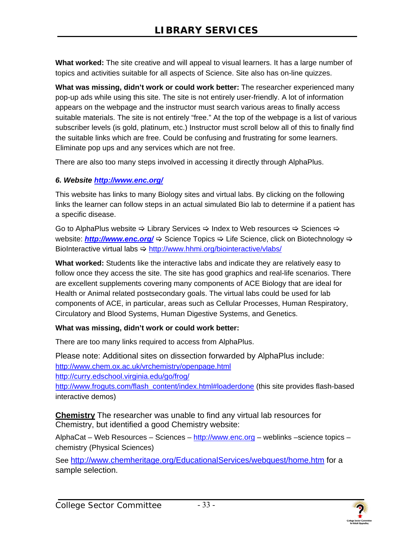**What worked:** The site creative and will appeal to visual learners. It has a large number of topics and activities suitable for all aspects of Science. Site also has on-line quizzes.

**What was missing, didn't work or could work better:** The researcher experienced many pop-up ads while using this site. The site is not entirely user-friendly. A lot of information appears on the webpage and the instructor must search various areas to finally access suitable materials. The site is not entirely "free." At the top of the webpage is a list of various subscriber levels (is gold, platinum, etc.) Instructor must scroll below all of this to finally find the suitable links which are free. Could be confusing and frustrating for some learners. Eliminate pop ups and any services which are not free.

There are also too many steps involved in accessing it directly through AlphaPlus.

#### *6. Website http://www.enc.org/*

This website has links to many Biology sites and virtual labs. By clicking on the following links the learner can follow steps in an actual simulated Bio lab to determine if a patient has a specific disease.

Go to AlphaPlus website  $\Rightarrow$  Library Services  $\Rightarrow$  Index to Web resources  $\Rightarrow$  Sciences  $\Rightarrow$ website: *http://www.enc.org/*  $\Leftrightarrow$  Science Topics  $\Leftrightarrow$  Life Science, click on Biotechnology  $\Leftrightarrow$ BioInteractive virtual labs  $\Rightarrow$  http://www.hhmi.org/biointeractive/vlabs/

**What worked:** Students like the interactive labs and indicate they are relatively easy to follow once they access the site. The site has good graphics and real-life scenarios. There are excellent supplements covering many components of ACE Biology that are ideal for Health or Animal related postsecondary goals. The virtual labs could be used for lab components of ACE, in particular, areas such as Cellular Processes, Human Respiratory, Circulatory and Blood Systems, Human Digestive Systems, and Genetics.

#### **What was missing, didn't work or could work better:**

There are too many links required to access from AlphaPlus.

Please note: Additional sites on dissection forwarded by AlphaPlus include: http://www.chem.ox.ac.uk/vrchemistry/openpage.html http://curry.edschool.virginia.edu/go/frog/ http://www.froguts.com/flash\_content/index.html#loaderdone (this site provides flash-based interactive demos)

**Chemistry** The researcher was unable to find any virtual lab resources for Chemistry, but identified a good Chemistry website:

AlphaCat – Web Resources – Sciences – http://www.enc.org – weblinks –science topics – chemistry (Physical Sciences)

See http://www.chemheritage.org/EducationalServices/webquest/home.htm for a sample selection.

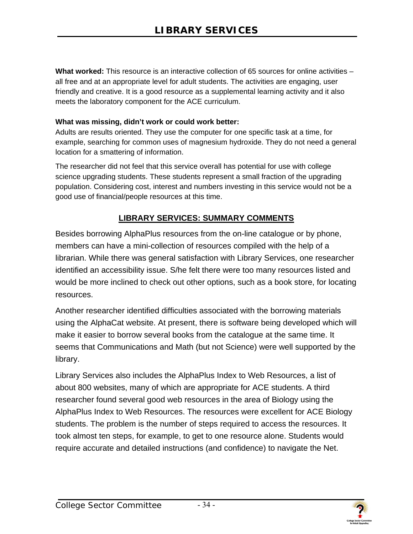<span id="page-36-0"></span>**What worked:** This resource is an interactive collection of 65 sources for online activities – all free and at an appropriate level for adult students. The activities are engaging, user friendly and creative. It is a good resource as a supplemental learning activity and it also meets the laboratory component for the ACE curriculum.

#### **What was missing, didn't work or could work better:**

 Adults are results oriented. They use the computer for one specific task at a time, for example, searching for common uses of magnesium hydroxide. They do not need a general location for a smattering of information.

The researcher did not feel that this service overall has potential for use with college science upgrading students. These students represent a small fraction of the upgrading population. Considering cost, interest and numbers investing in this service would not be a good use of financial/people resources at this time.

#### **LIBRARY SERVICES: SUMMARY COMMENTS**

Besides borrowing AlphaPlus resources from the on-line catalogue or by phone, members can have a mini-collection of resources compiled with the help of a librarian. While there was general satisfaction with Library Services, one researcher identified an accessibility issue. S/he felt there were too many resources listed and would be more inclined to check out other options, such as a book store, for locating resources.

Another researcher identified difficulties associated with the borrowing materials using the AlphaCat website. At present, there is software being developed which will make it easier to borrow several books from the catalogue at the same time. It seems that Communications and Math (but not Science) were well supported by the library.

Library Services also includes the AlphaPlus Index to Web Resources, a list of about 800 websites, many of which are appropriate for ACE students. A third researcher found several good web resources in the area of Biology using the AlphaPlus Index to Web Resources. The resources were excellent for ACE Biology students. The problem is the number of steps required to access the resources. It took almost ten steps, for example, to get to one resource alone. Students would require accurate and detailed instructions (and confidence) to navigate the Net.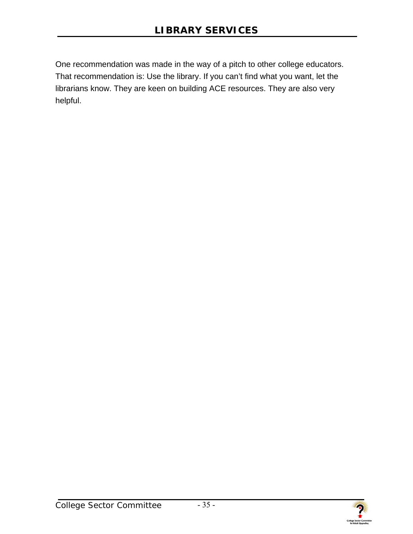One recommendation was made in the way of a pitch to other college educators. That recommendation is: Use the library. If you can't find what you want, let the librarians know. They are keen on building ACE resources. They are also very helpful.

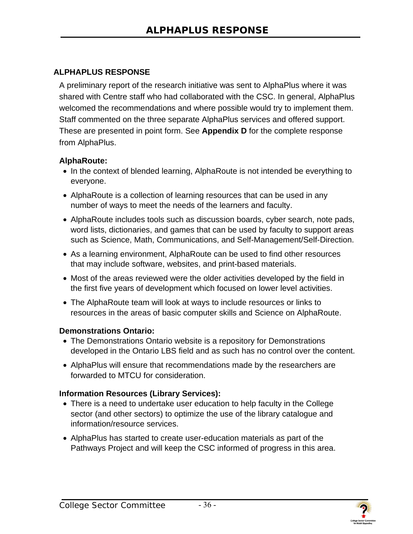#### <span id="page-38-0"></span>**ALPHAPLUS RESPONSE**

A preliminary report of the research initiative was sent to AlphaPlus where it was shared with Centre staff who had collaborated with the CSC. In general, AlphaPlus welcomed the recommendations and where possible would try to implement them. Staff commented on the three separate AlphaPlus services and offered support. These are presented in point form. See **Appendix D** for the complete response from AlphaPlus.

#### **AlphaRoute:**

- In the context of blended learning, AlphaRoute is not intended be everything to everyone.
- AlphaRoute is a collection of learning resources that can be used in any number of ways to meet the needs of the learners and faculty.
- AlphaRoute includes tools such as discussion boards, cyber search, note pads, word lists, dictionaries, and games that can be used by faculty to support areas such as Science, Math, Communications, and Self-Management/Self-Direction.
- As a learning environment, AlphaRoute can be used to find other resources that may include software, websites, and print-based materials.
- Most of the areas reviewed were the older activities developed by the field in the first five years of development which focused on lower level activities.
- The AlphaRoute team will look at ways to include resources or links to resources in the areas of basic computer skills and Science on AlphaRoute.

#### **Demonstrations Ontario:**

- The Demonstrations Ontario website is a repository for Demonstrations developed in the Ontario LBS field and as such has no control over the content.
- AlphaPlus will ensure that recommendations made by the researchers are forwarded to MTCU for consideration.

#### **Information Resources (Library Services):**

- There is a need to undertake user education to help faculty in the College sector (and other sectors) to optimize the use of the library catalogue and information/resource services.
- AlphaPlus has started to create user-education materials as part of the Pathways Project and will keep the CSC informed of progress in this area.



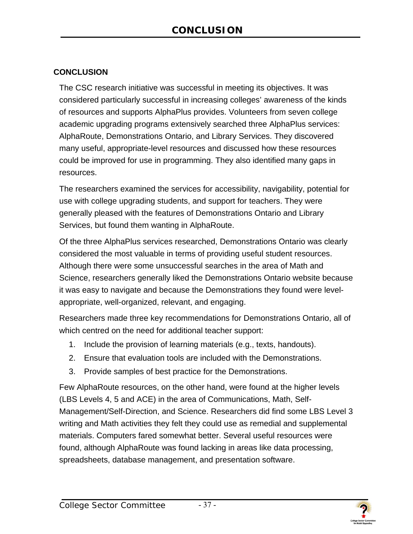#### **CONCLUSION**

The CSC research initiative was successful in meeting its objectives. It was considered particularly successful in increasing colleges' awareness of the kinds of resources and supports AlphaPlus provides. Volunteers from seven college academic upgrading programs extensively searched three AlphaPlus services: AlphaRoute, Demonstrations Ontario, and Library Services. They discovered many useful, appropriate-level resources and discussed how these resources could be improved for use in programming. They also identified many gaps in resources.

The researchers examined the services for accessibility, navigability, potential for use with college upgrading students, and support for teachers. They were generally pleased with the features of Demonstrations Ontario and Library Services, but found them wanting in AlphaRoute.

Of the three AlphaPlus services researched, Demonstrations Ontario was clearly considered the most valuable in terms of providing useful student resources. Although there were some unsuccessful searches in the area of Math and Science, researchers generally liked the Demonstrations Ontario website because it was easy to navigate and because the Demonstrations they found were levelappropriate, well-organized, relevant, and engaging.

Researchers made three key recommendations for Demonstrations Ontario, all of which centred on the need for additional teacher support:

- 1. Include the provision of learning materials (e.g., texts, handouts).
- 2. Ensure that evaluation tools are included with the Demonstrations.
- 3. Provide samples of best practice for the Demonstrations.

Few AlphaRoute resources, on the other hand, were found at the higher levels (LBS Levels 4, 5 and ACE) in the area of Communications, Math, Self-Management/Self-Direction, and Science. Researchers did find some LBS Level 3 writing and Math activities they felt they could use as remedial and supplemental materials. Computers fared somewhat better. Several useful resources were found, although AlphaRoute was found lacking in areas like data processing, spreadsheets, database management, and presentation software.



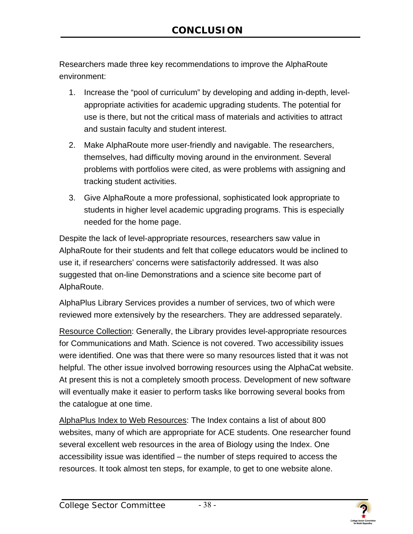Researchers made three key recommendations to improve the AlphaRoute environment:

- 1. Increase the "pool of curriculum" by developing and adding in-depth, levelappropriate activities for academic upgrading students. The potential for use is there, but not the critical mass of materials and activities to attract and sustain faculty and student interest.
- 2. Make AlphaRoute more user-friendly and navigable. The researchers, themselves, had difficulty moving around in the environment. Several problems with portfolios were cited, as were problems with assigning and tracking student activities.
- 3. Give AlphaRoute a more professional, sophisticated look appropriate to students in higher level academic upgrading programs. This is especially needed for the home page.

Despite the lack of level-appropriate resources, researchers saw value in AlphaRoute for their students and felt that college educators would be inclined to use it, if researchers' concerns were satisfactorily addressed. It was also suggested that on-line Demonstrations and a science site become part of AlphaRoute.

AlphaPlus Library Services provides a number of services, two of which were reviewed more extensively by the researchers. They are addressed separately.

Resource Collection: Generally, the Library provides level-appropriate resources for Communications and Math. Science is not covered. Two accessibility issues were identified. One was that there were so many resources listed that it was not helpful. The other issue involved borrowing resources using the AlphaCat website. At present this is not a completely smooth process. Development of new software will eventually make it easier to perform tasks like borrowing several books from the catalogue at one time.

AlphaPlus Index to Web Resources: The Index contains a list of about 800 websites, many of which are appropriate for ACE students. One researcher found several excellent web resources in the area of Biology using the Index. One accessibility issue was identified – the number of steps required to access the resources. It took almost ten steps, for example, to get to one website alone.

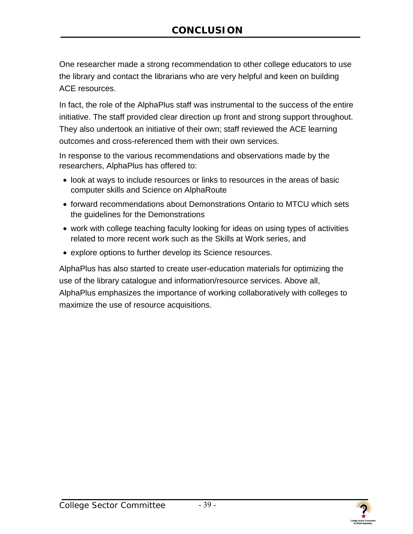One researcher made a strong recommendation to other college educators to use the library and contact the librarians who are very helpful and keen on building ACE resources.

In fact, the role of the AlphaPlus staff was instrumental to the success of the entire initiative. The staff provided clear direction up front and strong support throughout. They also undertook an initiative of their own; staff reviewed the ACE learning outcomes and cross-referenced them with their own services.

In response to the various recommendations and observations made by the researchers, AlphaPlus has offered to:

- look at ways to include resources or links to resources in the areas of basic computer skills and Science on AlphaRoute
- forward recommendations about Demonstrations Ontario to MTCU which sets the guidelines for the Demonstrations
- work with college teaching faculty looking for ideas on using types of activities related to more recent work such as the Skills at Work series, and
- explore options to further develop its Science resources.

AlphaPlus has also started to create user-education materials for optimizing the use of the library catalogue and information/resource services. Above all, AlphaPlus emphasizes the importance of working collaboratively with colleges to maximize the use of resource acquisitions.

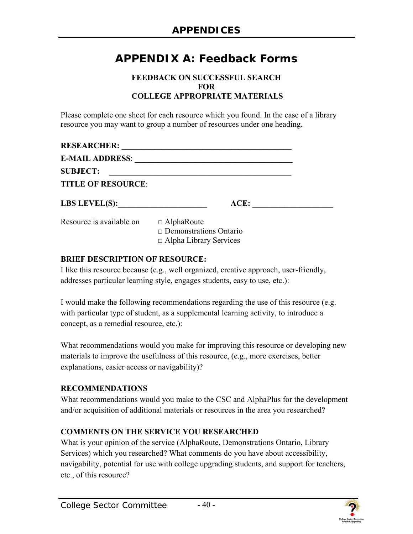# <span id="page-42-0"></span>**APPENDIX A: Feedback Forms**

#### **FEEDBACK ON SUCCESSFUL SEARCH FOR COLLEGE APPROPRIATE MATERIALS**

Please complete one sheet for each resource which you found. In the case of a library resource you may want to group a number of resources under one heading.

| <b>RESEARCHER:</b>        |                               |  |
|---------------------------|-------------------------------|--|
| <b>E-MAIL ADDRESS:</b>    |                               |  |
| <b>SUBJECT:</b>           |                               |  |
| <b>TITLE OF RESOURCE:</b> |                               |  |
| <b>LBS LEVEL(S):</b>      | ACE:                          |  |
| Resource is available on  | $\Box$ AlphaRoute             |  |
|                           | $\Box$ Demonstrations Ontario |  |
|                           | $\Box$ Alpha Library Services |  |

#### **BRIEF DESCRIPTION OF RESOURCE:**

I like this resource because (e.g., well organized, creative approach, user-friendly, addresses particular learning style, engages students, easy to use, etc.):

I would make the following recommendations regarding the use of this resource (e.g. with particular type of student, as a supplemental learning activity, to introduce a concept, as a remedial resource, etc.):

What recommendations would you make for improving this resource or developing new materials to improve the usefulness of this resource, (e.g., more exercises, better explanations, easier access or navigability)?

#### **RECOMMENDATIONS**

What recommendations would you make to the CSC and AlphaPlus for the development and/or acquisition of additional materials or resources in the area you researched?

#### **COMMENTS ON THE SERVICE YOU RESEARCHED**

What is your opinion of the service (AlphaRoute, Demonstrations Ontario, Library Services) which you researched? What comments do you have about accessibility, navigability, potential for use with college upgrading students, and support for teachers, etc., of this resource?



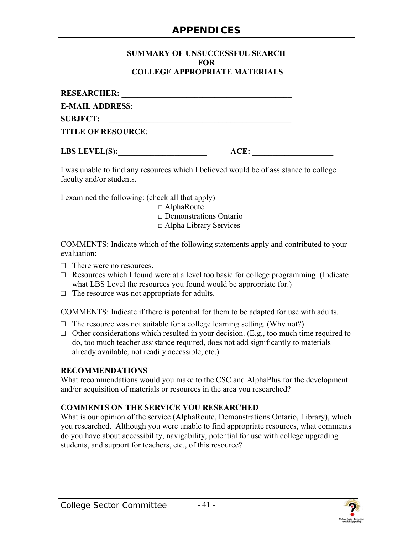#### **SUMMARY OF UNSUCCESSFUL SEARCH FOR COLLEGE APPROPRIATE MATERIALS**

| <b>RESEARCHER:</b>        |
|---------------------------|
| <b>E-MAIL ADDRESS:</b>    |
| <b>SUBJECT:</b>           |
| <b>TITLE OF RESOURCE:</b> |

**LBS LEVEL(S):** ACE:

I was unable to find any resources which I believed would be of assistance to college faculty and/or students.

I examined the following: (check all that apply)

 $\Box$  AlphaRoute

 $\Box$  Demonstrations Ontario

□ Alpha Library Services

COMMENTS: Indicate which of the following statements apply and contributed to your evaluation:

- $\Box$  There were no resources
- $\Box$  Resources which I found were at a level too basic for college programming. (Indicate what LBS Level the resources you found would be appropriate for.)
- $\Box$  The resource was not appropriate for adults.

COMMENTS: Indicate if there is potential for them to be adapted for use with adults.

- $\Box$  The resource was not suitable for a college learning setting. (Why not?)
- $\Box$  Other considerations which resulted in your decision. (E.g., too much time required to do, too much teacher assistance required, does not add significantly to materials already available, not readily accessible, etc.)

#### **RECOMMENDATIONS**

What recommendations would you make to the CSC and AlphaPlus for the development and/or acquisition of materials or resources in the area you researched?

#### **COMMENTS ON THE SERVICE YOU RESEARCHED**

What is our opinion of the service (AlphaRoute, Demonstrations Ontario, Library), which you researched. Although you were unable to find appropriate resources, what comments do you have about accessibility, navigability, potential for use with college upgrading students, and support for teachers, etc., of this resource?



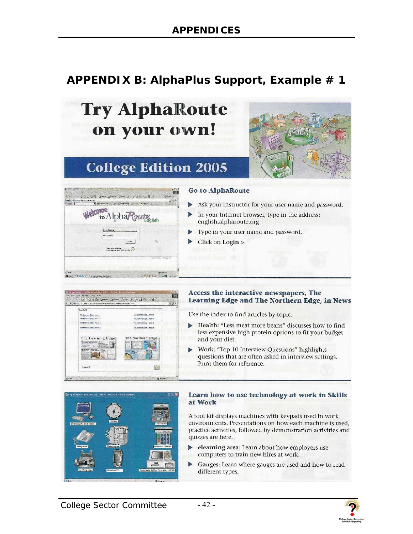# <span id="page-44-0"></span>**APPENDIX B: AlphaPlus Support, Example # 1**





#### Learn how to use technology at work in Skills at Work

A tool kit displays machines with keypads used in work environments. Presentations on how each machine is used, practice activities, followed by demonstration activities and quizzes are here.

- elearning area: Learn about how employers use computers to train new hires at work.
- Gauges: Learn where gauges are used and how to read different types.

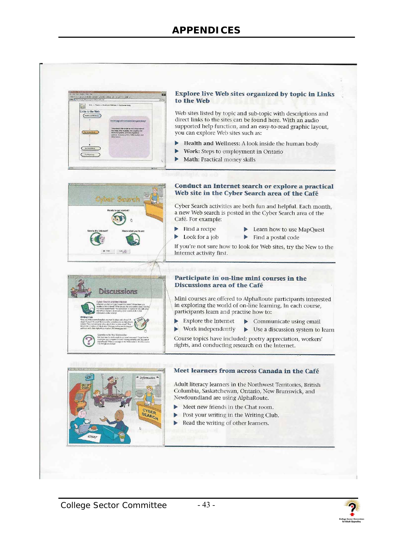

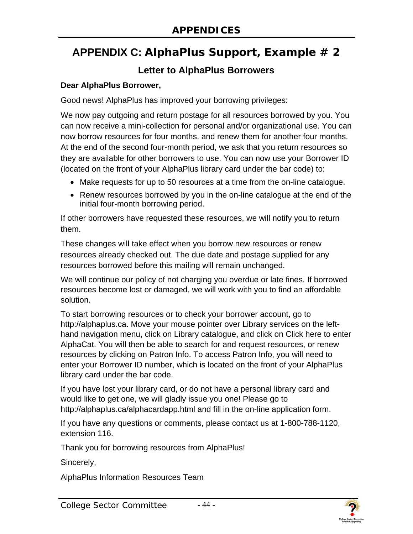# <span id="page-46-0"></span>**APPENDIX C: AlphaPlus Support, Example # 2**

## **Letter to AlphaPlus Borrowers**

#### **Dear AlphaPlus Borrower,**

Good news! AlphaPlus has improved your borrowing privileges:

We now pay outgoing and return postage for all resources borrowed by you. You can now receive a mini-collection for personal and/or organizational use. You can now borrow resources for four months, and renew them for another four months. At the end of the second four-month period, we ask that you return resources so they are available for other borrowers to use. You can now use your Borrower ID (located on the front of your AlphaPlus library card under the bar code) to:

- Make requests for up to 50 resources at a time from the on-line catalogue.
- Renew resources borrowed by you in the on-line catalogue at the end of the initial four-month borrowing period.

If other borrowers have requested these resources, we will notify you to return them.

These changes will take effect when you borrow new resources or renew resources already checked out. The due date and postage supplied for any resources borrowed before this mailing will remain unchanged.

We will continue our policy of not charging you overdue or late fines. If borrowed resources become lost or damaged, we will work with you to find an affordable solution.

To start borrowing resources or to check your borrower account, go to http://alphaplus.ca. Move your mouse pointer over Library services on the lefthand navigation menu, click on Library catalogue, and click on Click here to enter AlphaCat. You will then be able to search for and request resources, or renew resources by clicking on Patron Info. To access Patron Info, you will need to enter your Borrower ID number, which is located on the front of your AlphaPlus library card under the bar code.

If you have lost your library card, or do not have a personal library card and would like to get one, we will gladly issue you one! Please go to http://alphaplus.ca/alphacardapp.html and fill in the on-line application form.

If you have any questions or comments, please contact us at 1-800-788-1120, extension 116.

Thank you for borrowing resources from AlphaPlus!

Sincerely,

AlphaPlus Information Resources Team

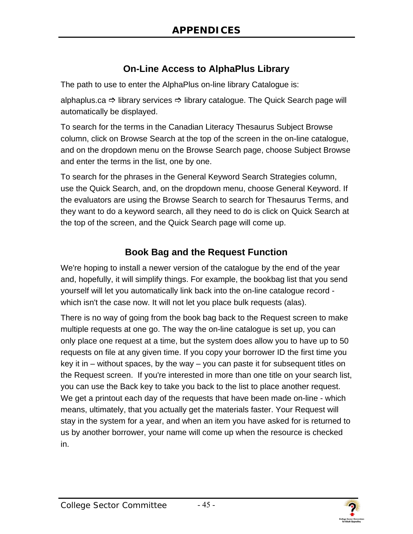## **On-Line Access to AlphaPlus Library**

The path to use to enter the AlphaPlus on-line library Catalogue is:

alphaplus.ca  $\Rightarrow$  library services  $\Rightarrow$  library catalogue. The Quick Search page will automatically be displayed.

To search for the terms in the Canadian Literacy Thesaurus Subject Browse column, click on Browse Search at the top of the screen in the on-line catalogue, and on the dropdown menu on the Browse Search page, choose Subject Browse and enter the terms in the list, one by one.

To search for the phrases in the General Keyword Search Strategies column, use the Quick Search, and, on the dropdown menu, choose General Keyword. If the evaluators are using the Browse Search to search for Thesaurus Terms, and they want to do a keyword search, all they need to do is click on Quick Search at the top of the screen, and the Quick Search page will come up.

## **Book Bag and the Request Function**

We're hoping to install a newer version of the catalogue by the end of the year and, hopefully, it will simplify things. For example, the bookbag list that you send yourself will let you automatically link back into the on-line catalogue record which isn't the case now. It will not let you place bulk requests (alas).

There is no way of going from the book bag back to the Request screen to make multiple requests at one go. The way the on-line catalogue is set up, you can only place one request at a time, but the system does allow you to have up to 50 requests on file at any given time. If you copy your borrower ID the first time you key it in – without spaces, by the way – you can paste it for subsequent titles on the Request screen. If you're interested in more than one title on your search list, you can use the Back key to take you back to the list to place another request. We get a printout each day of the requests that have been made on-line - which means, ultimately, that you actually get the materials faster. Your Request will stay in the system for a year, and when an item you have asked for is returned to us by another borrower, your name will come up when the resource is checked in.

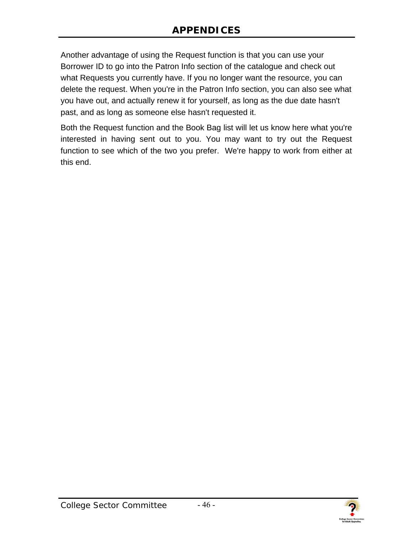Another advantage of using the Request function is that you can use your Borrower ID to go into the Patron Info section of the catalogue and check out what Requests you currently have. If you no longer want the resource, you can delete the request. When you're in the Patron Info section, you can also see what you have out, and actually renew it for yourself, as long as the due date hasn't past, and as long as someone else hasn't requested it.

Both the Request function and the Book Bag list will let us know here what you're interested in having sent out to you. You may want to try out the Request function to see which of the two you prefer. We're happy to work from either at this end.

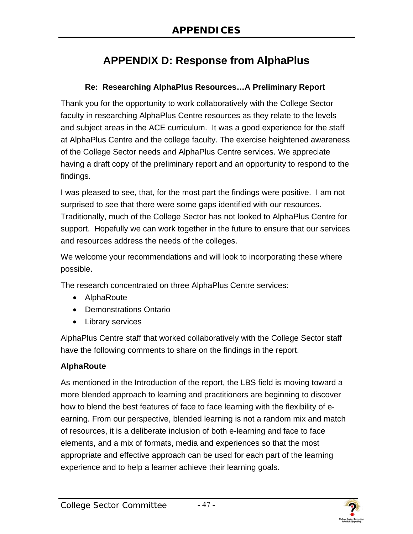# **APPENDIX D: Response from AlphaPlus**

#### **Re: Researching AlphaPlus Resources…A Preliminary Report**

<span id="page-49-0"></span>Thank you for the opportunity to work collaboratively with the College Sector faculty in researching AlphaPlus Centre resources as they relate to the levels and subject areas in the ACE curriculum. It was a good experience for the staff at AlphaPlus Centre and the college faculty. The exercise heightened awareness of the College Sector needs and AlphaPlus Centre services. We appreciate having a draft copy of the preliminary report and an opportunity to respond to the findings.

I was pleased to see, that, for the most part the findings were positive. I am not surprised to see that there were some gaps identified with our resources. Traditionally, much of the College Sector has not looked to AlphaPlus Centre for support. Hopefully we can work together in the future to ensure that our services and resources address the needs of the colleges.

We welcome your recommendations and will look to incorporating these where possible.

The research concentrated on three AlphaPlus Centre services:

- AlphaRoute
- Demonstrations Ontario
- Library services

AlphaPlus Centre staff that worked collaboratively with the College Sector staff have the following comments to share on the findings in the report.

#### **AlphaRoute**

As mentioned in the Introduction of the report, the LBS field is moving toward a more blended approach to learning and practitioners are beginning to discover how to blend the best features of face to face learning with the flexibility of eearning. From our perspective, blended learning is not a random mix and match of resources, it is a deliberate inclusion of both e-learning and face to face elements, and a mix of formats, media and experiences so that the most appropriate and effective approach can be used for each part of the learning experience and to help a learner achieve their learning goals.

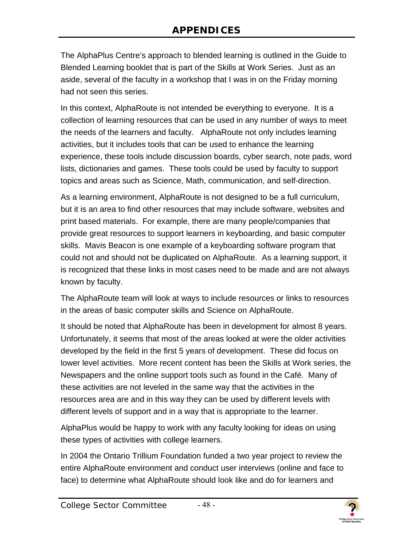The AlphaPlus Centre's approach to blended learning is outlined in the Guide to Blended Learning booklet that is part of the Skills at Work Series. Just as an aside, several of the faculty in a workshop that I was in on the Friday morning had not seen this series.

In this context, AlphaRoute is not intended be everything to everyone. It is a collection of learning resources that can be used in any number of ways to meet the needs of the learners and faculty. AlphaRoute not only includes learning activities, but it includes tools that can be used to enhance the learning experience, these tools include discussion boards, cyber search, note pads, word lists, dictionaries and games. These tools could be used by faculty to support topics and areas such as Science, Math, communication, and self-direction.

As a learning environment, AlphaRoute is not designed to be a full curriculum, but it is an area to find other resources that may include software, websites and print based materials. For example, there are many people/companies that provide great resources to support learners in keyboarding, and basic computer skills. Mavis Beacon is one example of a keyboarding software program that could not and should not be duplicated on AlphaRoute. As a learning support, it is recognized that these links in most cases need to be made and are not always known by faculty.

The AlphaRoute team will look at ways to include resources or links to resources in the areas of basic computer skills and Science on AlphaRoute.

It should be noted that AlphaRoute has been in development for almost 8 years. Unfortunately, it seems that most of the areas looked at were the older activities developed by the field in the first 5 years of development. These did focus on lower level activities. More recent content has been the Skills at Work series, the Newspapers and the online support tools such as found in the Café. Many of these activities are not leveled in the same way that the activities in the resources area are and in this way they can be used by different levels with different levels of support and in a way that is appropriate to the learner.

AlphaPlus would be happy to work with any faculty looking for ideas on using these types of activities with college learners.

In 2004 the Ontario Trillium Foundation funded a two year project to review the entire AlphaRoute environment and conduct user interviews (online and face to face) to determine what AlphaRoute should look like and do for learners and



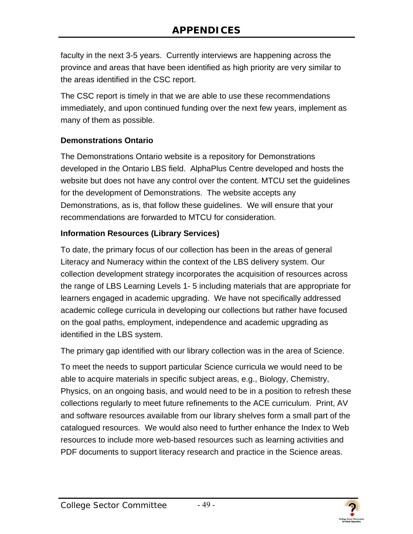faculty in the next 3-5 years. Currently interviews are happening across the province and areas that have been identified as high priority are very similar to the areas identified in the CSC report.

The CSC report is timely in that we are able to use these recommendations immediately, and upon continued funding over the next few years, implement as many of them as possible.

#### **Demonstrations Ontario**

The Demonstrations Ontario website is a repository for Demonstrations developed in the Ontario LBS field. AlphaPlus Centre developed and hosts the website but does not have any control over the content. MTCU set the guidelines for the development of Demonstrations. The website accepts any Demonstrations, as is, that follow these guidelines. We will ensure that your recommendations are forwarded to MTCU for consideration.

#### **Information Resources (Library Services)**

To date, the primary focus of our collection has been in the areas of general Literacy and Numeracy within the context of the LBS delivery system. Our collection development strategy incorporates the acquisition of resources across the range of LBS Learning Levels 1- 5 including materials that are appropriate for learners engaged in academic upgrading. We have not specifically addressed academic college curricula in developing our collections but rather have focused on the goal paths, employment, independence and academic upgrading as identified in the LBS system.

The primary gap identified with our library collection was in the area of Science.

To meet the needs to support particular Science curricula we would need to be able to acquire materials in specific subject areas, e.g., Biology, Chemistry, Physics, on an ongoing basis, and would need to be in a position to refresh these collections regularly to meet future refinements to the ACE curriculum. Print, AV and software resources available from our library shelves form a small part of the catalogued resources. We would also need to further enhance the Index to Web resources to include more web-based resources such as learning activities and PDF documents to support literacy research and practice in the Science areas.